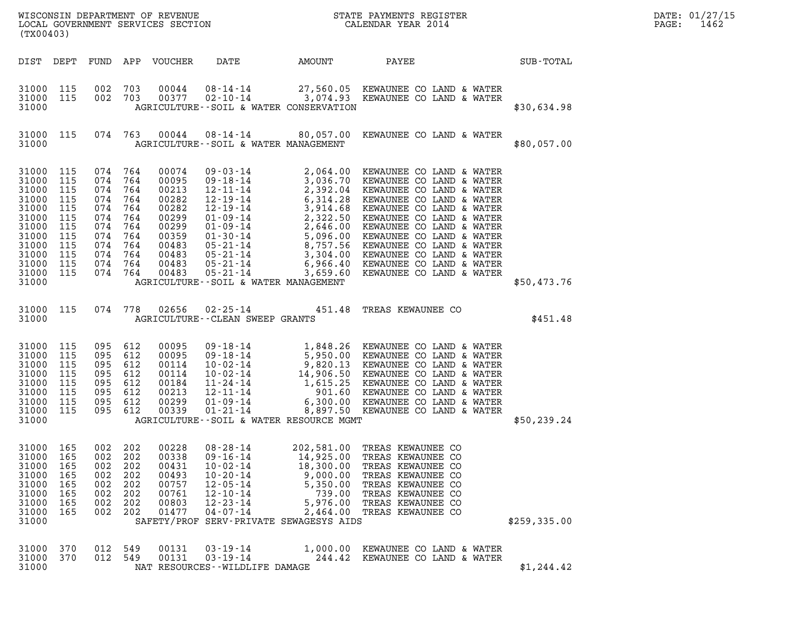| (TX00403)                                                                                                         |                                                                                  |                                                                                              |                                                             |                                                                                                          |                                                                                                                                                                                         |                                                                                                |                                                                                                                                                                                                                                                    |              | DATE: 01/27/15<br>PAGE:<br>1462 |
|-------------------------------------------------------------------------------------------------------------------|----------------------------------------------------------------------------------|----------------------------------------------------------------------------------------------|-------------------------------------------------------------|----------------------------------------------------------------------------------------------------------|-----------------------------------------------------------------------------------------------------------------------------------------------------------------------------------------|------------------------------------------------------------------------------------------------|----------------------------------------------------------------------------------------------------------------------------------------------------------------------------------------------------------------------------------------------------|--------------|---------------------------------|
|                                                                                                                   |                                                                                  |                                                                                              |                                                             | DIST DEPT FUND APP VOUCHER                                                                               | DATE                                                                                                                                                                                    | AMOUNT                                                                                         | PAYEE<br><b>SUB-TOTAL</b>                                                                                                                                                                                                                          |              |                                 |
| 31000 115<br>31000 115<br>31000                                                                                   |                                                                                  | 002<br>002 703                                                                               | 703                                                         | 00044                                                                                                    | AGRICULTURE--SOIL & WATER CONSERVATION                                                                                                                                                  |                                                                                                | 08-14-14 27,560.05 KEWAUNEE CO LAND & WATER<br>00377 02-10-14 3,074.93 KEWAUNEE CO LAND & WATER                                                                                                                                                    | \$30,634.98  |                                 |
| 31000 115<br>31000                                                                                                |                                                                                  |                                                                                              |                                                             |                                                                                                          | AGRICULTURE--SOIL & WATER MANAGEMENT                                                                                                                                                    |                                                                                                | 074 763 00044 08-14-14 80,057.00 KEWAUNEE CO LAND & WATER                                                                                                                                                                                          | \$80,057.00  |                                 |
| 31000<br>31000<br>31000<br>31000<br>31000<br>31000<br>31000<br>31000<br>31000<br>31000<br>31000<br>31000<br>31000 | 115<br>115<br>115<br>115<br>115<br>115<br>115<br>115<br>115<br>115<br>115<br>115 | 074<br>074<br>074<br>074<br>074<br>074<br>074<br>074 764<br>074<br>074 764<br>074<br>074 764 | 764<br>764<br>764<br>764<br>764<br>764<br>764<br>764<br>764 | 00074<br>00095<br>00213<br>00282<br>00282<br>00299<br>00299<br>00359<br>00483<br>00483<br>00483<br>00483 | 05-21-14<br>AGRICULTURE--SOIL & WATER MANAGEMENT                                                                                                                                        |                                                                                                | 3,659.60 KEWAUNEE CO LAND & WATER                                                                                                                                                                                                                  | \$50,473.76  |                                 |
| 31000 115<br>31000                                                                                                |                                                                                  |                                                                                              | 074 778                                                     | 02656                                                                                                    | AGRICULTURE--CLEAN SWEEP GRANTS                                                                                                                                                         |                                                                                                | 02-25-14 451.48 TREAS KEWAUNEE CO                                                                                                                                                                                                                  | \$451.48     |                                 |
| 31000<br>31000<br>31000<br>31000<br>31000<br>31000<br>31000<br>31000<br>31000                                     | 115<br>115<br>115<br>115<br>115<br>115<br>115<br>115                             | 095 612<br>095<br>095<br>095<br>095<br>095<br>095<br>095 612                                 | 612<br>612<br>612<br>612<br>612<br>612                      | 00095<br>00095<br>00114<br>00114<br>00184<br>00213<br>00299<br>00339                                     | AGRICULTURE--SOIL & WATER RESOURCE MGMT                                                                                                                                                 |                                                                                                | 09-18-14<br>09-18-14<br>5,950.00 KEWAUNEE CO LAND & WATER<br>10-02-14<br>9,820.13 KEWAUNEE CO LAND & WATER<br>10-02-14<br>14,906.50 KEWAUNEE CO LAND & WATER<br>11-24-14<br>1,615.25 KEWAUNEE CO LAND & WATER<br>12-11-14<br>901.60 KEWAUNEE CO LA | \$50, 239.24 |                                 |
| 31000<br>31000<br>31000<br>31000<br>31000<br>31000<br>31000<br>31000<br>31000                                     | 165<br>165<br>165<br>165<br>165<br>165<br>165<br>165                             | 002<br>002<br>002<br>002<br>002<br>002<br>002<br>002                                         | 202<br>202<br>202<br>202<br>202<br>202<br>202<br>202        | 00228<br>00338<br>00431<br>00493<br>00757<br>00761<br>00803<br>01477                                     | $08 - 28 - 14$<br>$09 - 16 - 14$<br>$10 - 02 - 14$<br>$10 - 20 - 14$<br>$12 - 05 - 14$<br>$12 - 10 - 14$<br>$12 - 23 - 14$<br>$04 - 07 - 14$<br>SAFETY/PROF SERV-PRIVATE SEWAGESYS AIDS | 202,581.00<br>14,925.00<br>18,300.00<br>9,000.00<br>5,350.00<br>739.00<br>5,976.00<br>2,464.00 | TREAS KEWAUNEE CO<br>TREAS KEWAUNEE CO<br>TREAS KEWAUNEE CO<br>TREAS KEWAUNEE CO<br>TREAS KEWAUNEE CO<br>TREAS KEWAUNEE CO<br>TREAS KEWAUNEE CO<br>TREAS KEWAUNEE CO                                                                               | \$259,335.00 |                                 |
| 31000<br>31000<br>31000                                                                                           | 370<br>370                                                                       | 012<br>012 549                                                                               | 549                                                         | 00131<br>00131                                                                                           | $03 - 19 - 14$<br>$03 - 19 - 14$<br>NAT RESOURCES - - WILDLIFE DAMAGE                                                                                                                   | 1,000.00<br>244.42                                                                             | KEWAUNEE CO LAND & WATER<br>KEWAUNEE CO LAND & WATER                                                                                                                                                                                               | \$1, 244.42  |                                 |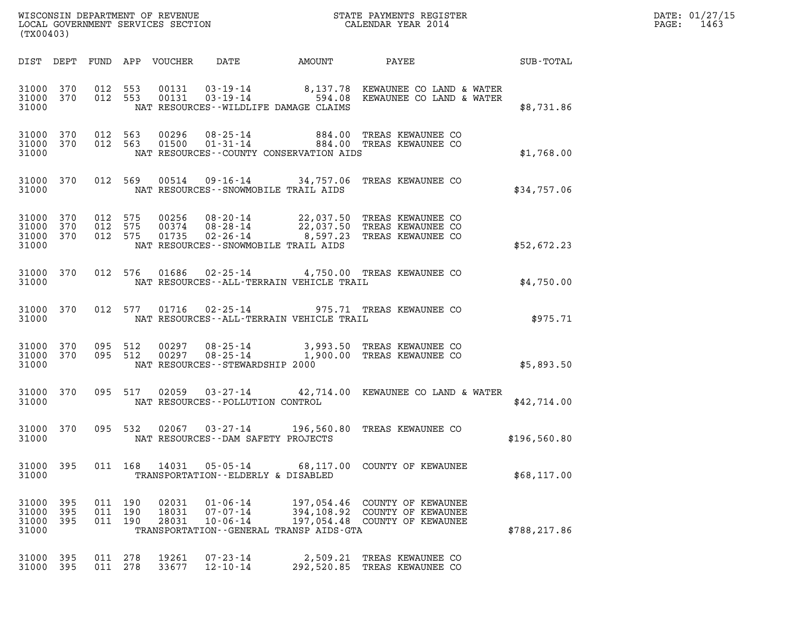| (TX00403)                            |            |                               | WISCONSIN DEPARTMENT OF REVENUE<br>LOCAL GOVERNMENT SERVICES SECTION |                                                           |              | STATE PAYMENTS REGISTER<br>CALENDAR YEAR 2014                                                                       |              | DATE: 01/27/15<br>PAGE: 1463 |
|--------------------------------------|------------|-------------------------------|----------------------------------------------------------------------|-----------------------------------------------------------|--------------|---------------------------------------------------------------------------------------------------------------------|--------------|------------------------------|
|                                      |            |                               | DIST DEPT FUND APP VOUCHER DATE                                      |                                                           | AMOUNT PAYEE |                                                                                                                     | SUB-TOTAL    |                              |
| 31000 370<br>31000 370<br>31000      |            | 012 553<br>012 553            | 00131<br>00131                                                       | NAT RESOURCES--WILDLIFE DAMAGE CLAIMS                     |              | $03 - 19 - 14$ 8,137.78 KEWAUNEE CO LAND & WATER<br>$03 - 19 - 14$ 594.08 KEWAUNEE CO LAND & WATER                  | \$8,731.86   |                              |
| 31000 370<br>31000 370<br>31000      |            | 012 563<br>012 563            | 00296<br>01500                                                       | NAT RESOURCES--COUNTY CONSERVATION AIDS                   |              | 08-25-14 884.00 TREAS KEWAUNEE CO<br>01-31-14 884.00 TREAS KEWAUNEE CO                                              | \$1,768.00   |                              |
| 31000 370<br>31000                   |            |                               |                                                                      | NAT RESOURCES - - SNOWMOBILE TRAIL AIDS                   |              | 012 569  00514  09-16-14  34,757.06  TREAS KEWAUNEE CO                                                              | \$34,757.06  |                              |
| 31000 370<br>31000<br>31000<br>31000 | 370<br>370 | 012 575<br>012 575<br>012 575 | 00256<br>00374<br>01735                                              | $08 - 28 - 14$<br>NAT RESOURCES - - SNOWMOBILE TRAIL AIDS |              | 08-20-14 22,037.50 TREAS KEWAUNEE CO<br>08-28-14 22,037.50 TREAS KEWAUNEE CO<br>02-26-14 8,597.23 TREAS KEWAUNEE CO | \$52,672.23  |                              |
| 31000 370<br>31000                   |            |                               | 012 576 01686                                                        | NAT RESOURCES--ALL-TERRAIN VEHICLE TRAIL                  |              | 02-25-14 4,750.00 TREAS KEWAUNEE CO                                                                                 | \$4,750.00   |                              |
| 31000 370<br>31000                   |            |                               |                                                                      | NAT RESOURCES - - ALL - TERRAIN VEHICLE TRAIL             |              | 012 577 01716 02-25-14 975.71 TREAS KEWAUNEE CO                                                                     | \$975.71     |                              |
| 31000 370<br>31000 370<br>31000      |            | 095 512<br>095 512            | 00297<br>00297                                                       | NAT RESOURCES - - STEWARDSHIP 2000                        |              | 08-25-14 3,993.50 TREAS KEWAUNEE CO<br>08-25-14 1,900.00 TREAS KEWAUNEE CO                                          | \$5,893.50   |                              |
| 31000 370<br>31000                   |            |                               |                                                                      | NAT RESOURCES - - POLLUTION CONTROL                       |              | 095 517 02059 03-27-14 42,714.00 KEWAUNEE CO LAND & WATER                                                           | \$42,714.00  |                              |
| 31000 370<br>31000                   |            |                               |                                                                      | NAT RESOURCES--DAM SAFETY PROJECTS                        |              | 095 532 02067 03-27-14 196,560.80 TREAS KEWAUNEE CO                                                                 | \$196,560.80 |                              |
| 31000 395<br>31000                   |            |                               |                                                                      | TRANSPORTATION--ELDERLY & DISABLED                        |              | 011 168 14031 05-05-14 68,117.00 COUNTY OF KEWAUNEE                                                                 | \$68,117.00  |                              |

31000 395 011 190 02031 01-06-14 197,054.46 COUNTY OF KEWAUNEE 31000 395 011 190 02031 01–06–14 197,054.46 COUNTY.OF KEWAUNEE<br>31000 395 011 190 18031 07–07–14 394,108.92 COUNTY OF KEWAUNEE<br>31000 395 011 190 28031 10–06–14 197,054.48 COUNTY OF KEWAUNEE 31000 395 011 190 02031 01-06-14 197,054.46 COUNTY OF KEWAUNEE<br>31000 395 011 190 18031 07-07-14 394,108.92 COUNTY OF KEWAUNEE<br>31000 395 011 190 28031 10-06-14 197,054.48 COUNTY OF KEWAUNEE<br>31000 TRANSPORTATION--GENERAL TRA 31000 395 011 190 02031 01-06-14 197,054.46 COUNTY. OF KEWAUNEE<br>31000 395 011 190 18031 07-07-14 394,108.92 COUNTY. OF KEWAUNEE<br>31000 395 011 190 28031 10-06-14 197,054.48 COUNTY. OF KEWAUNEE \$788,217.86<br>31000 31000 395 011 278 19261 07-23-14 2,509.21 TREAS KEWAUNEE CO

|  |  | 31000 395 011 278 19261 07-23-14<br>31000 395 011 278 33677 12-10-14 | 2,509.21 TREAS KEWAUNEE CO<br>292,520.85 TREAS KEWAUNEE CO |
|--|--|----------------------------------------------------------------------|------------------------------------------------------------|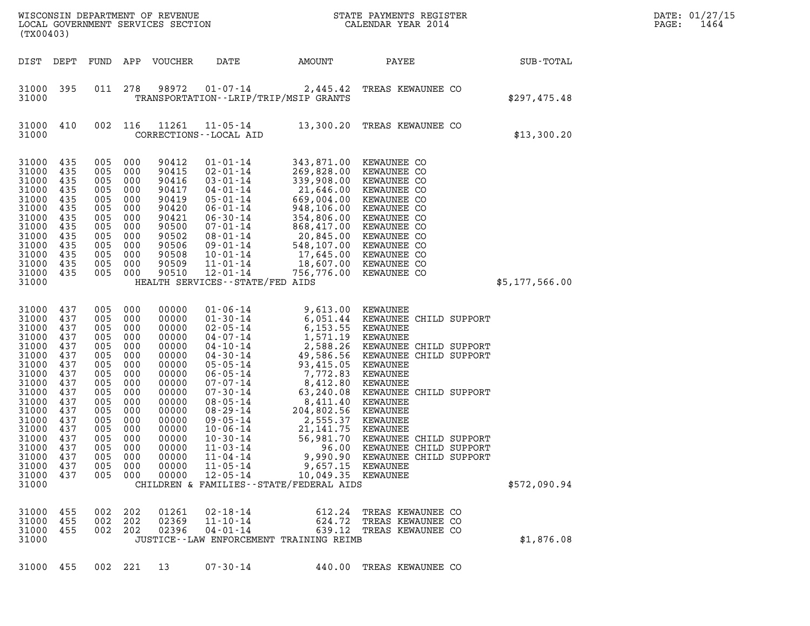| WISCONSIN DEPARTMENT OF REVENUE<br>LOCAL GOVERNMENT SERVICES SECTION<br>(TX00403)                                                                                                |                                                                                                                                   |                                                                                                                                   |                                                                                                                                   |                                                                                                                                                                         |                                                                                                                                                                                                                                                                                                                                              |                                                                                                                                                                                                                                                                                                 | STATE PAYMENTS REGISTER<br>CALENDAR YEAR 2014                                                                                                                                                                                                                                                                          |                | DATE: 01/27/15<br>1464<br>PAGE: |
|----------------------------------------------------------------------------------------------------------------------------------------------------------------------------------|-----------------------------------------------------------------------------------------------------------------------------------|-----------------------------------------------------------------------------------------------------------------------------------|-----------------------------------------------------------------------------------------------------------------------------------|-------------------------------------------------------------------------------------------------------------------------------------------------------------------------|----------------------------------------------------------------------------------------------------------------------------------------------------------------------------------------------------------------------------------------------------------------------------------------------------------------------------------------------|-------------------------------------------------------------------------------------------------------------------------------------------------------------------------------------------------------------------------------------------------------------------------------------------------|------------------------------------------------------------------------------------------------------------------------------------------------------------------------------------------------------------------------------------------------------------------------------------------------------------------------|----------------|---------------------------------|
| DIST DEPT                                                                                                                                                                        |                                                                                                                                   | FUND                                                                                                                              |                                                                                                                                   | APP VOUCHER                                                                                                                                                             | DATE                                                                                                                                                                                                                                                                                                                                         | AMOUNT                                                                                                                                                                                                                                                                                          | PAYEE                                                                                                                                                                                                                                                                                                                  | SUB-TOTAL      |                                 |
| 31000 395<br>31000                                                                                                                                                               |                                                                                                                                   | 011                                                                                                                               | 278                                                                                                                               | 98972                                                                                                                                                                   | $01 - 07 - 14$                                                                                                                                                                                                                                                                                                                               | 2,445.42<br>TRANSPORTATION - - LRIP/TRIP/MSIP GRANTS                                                                                                                                                                                                                                            | TREAS KEWAUNEE CO                                                                                                                                                                                                                                                                                                      | \$297,475.48   |                                 |
| 31000<br>31000                                                                                                                                                                   | 410                                                                                                                               | 002                                                                                                                               | 116                                                                                                                               | 11261                                                                                                                                                                   | $11 - 05 - 14$<br>CORRECTIONS - - LOCAL AID                                                                                                                                                                                                                                                                                                  |                                                                                                                                                                                                                                                                                                 | 13,300.20 TREAS KEWAUNEE CO                                                                                                                                                                                                                                                                                            | \$13,300.20    |                                 |
| 31000<br>31000<br>31000<br>31000<br>31000<br>31000<br>31000<br>31000<br>31000<br>31000<br>31000<br>31000<br>31000<br>31000                                                       | 435<br>435<br>435<br>435<br>435<br>435<br>435<br>435<br>435<br>435<br>435<br>435<br>435                                           | 005<br>005<br>005<br>005<br>005<br>005<br>005<br>005<br>005<br>005<br>005<br>005<br>005                                           | 000<br>000<br>000<br>000<br>000<br>000<br>000<br>000<br>000<br>000<br>000<br>000<br>000                                           | 90412<br>90415<br>90416<br>90417<br>90419<br>90420<br>90421<br>90500<br>90502<br>90506<br>90508<br>90509<br>90510                                                       | $01 - 01 - 14$<br>$02 - 01 - 14$<br>$03 - 01 - 14$<br>$04 - 01 - 14$<br>$05 - 01 - 14$<br>$06 - 01 - 14$<br>$06 - 30 - 14$<br>$07 - 01 - 14$<br>$08 - 01 - 14$<br>$09 - 01 - 14$<br>$10 - 01 - 14$<br>$11 - 01 - 14$<br>$12 - 01 - 14$<br>HEALTH SERVICES - - STATE/FED AIDS                                                                 | 343,871.00<br>269,828.00<br>339,908.00<br>21,646.00<br>669,004.00<br>948,106.00<br>354,806.00<br>868,417.00<br>20,845.00<br>548,107.00<br>17,645.00<br>18,607.00<br>756,776.00                                                                                                                  | KEWAUNEE CO<br>KEWAUNEE CO<br>KEWAUNEE CO<br>KEWAUNEE CO<br>KEWAUNEE CO<br>KEWAUNEE CO<br>KEWAUNEE CO<br>KEWAUNEE CO<br>KEWAUNEE CO<br>KEWAUNEE CO<br>KEWAUNEE CO<br>KEWAUNEE CO<br>KEWAUNEE CO                                                                                                                        | \$5,177,566.00 |                                 |
| 31000<br>31000<br>31000<br>31000<br>31000<br>31000<br>31000<br>31000<br>31000<br>31000<br>31000<br>31000<br>31000<br>31000<br>31000<br>31000<br>31000<br>31000<br>31000<br>31000 | 437<br>437<br>437<br>437<br>437<br>437<br>437<br>437<br>437<br>437<br>437<br>437<br>437<br>437<br>437<br>437<br>437<br>437<br>437 | 005<br>005<br>005<br>005<br>005<br>005<br>005<br>005<br>005<br>005<br>005<br>005<br>005<br>005<br>005<br>005<br>005<br>005<br>005 | 000<br>000<br>000<br>000<br>000<br>000<br>000<br>000<br>000<br>000<br>000<br>000<br>000<br>000<br>000<br>000<br>000<br>000<br>000 | 00000<br>00000<br>00000<br>00000<br>00000<br>00000<br>00000<br>00000<br>00000<br>00000<br>00000<br>00000<br>00000<br>00000<br>00000<br>00000<br>00000<br>00000<br>00000 | $01 - 06 - 14$<br>$01 - 30 - 14$<br>$02 - 05 - 14$<br>$04 - 07 - 14$<br>04-10-14<br>$04 - 30 - 14$<br>$05 - 05 - 14$<br>$06 - 05 - 14$<br>$07 - 07 - 14$<br>$07 - 30 - 14$<br>$08 - 05 - 14$<br>$08 - 29 - 14$<br>$09 - 05 - 14$<br>$10 - 06 - 14$<br>$10 - 30 - 14$<br>$11 - 03 - 14$<br>$11 - 04 - 14$<br>$11 - 05 - 14$<br>$12 - 05 - 14$ | 9,613.00<br>6,051.44<br>6, 153.55<br>1,571.19<br>2,588.26<br>49,586.56<br>93,415.05<br>7,772.83<br>8,412.80<br>63,240.08<br>8,411.40<br>204,802.56<br>2,555.37<br>21, 141. 75<br>56,981.70<br>96.00<br>9,990.90<br>9,657.15<br>10,049.35 KEWAUNEE<br>CHILDREN & FAMILIES - - STATE/FEDERAL AIDS | KEWAUNEE<br>KEWAUNEE CHILD SUPPORT<br>KEWAUNEE<br>KEWAUNEE<br>KEWAUNEE CHILD SUPPORT<br>KEWAUNEE CHILD SUPPORT<br>KEWAUNEE<br>KEWAUNEE<br>KEWAUNEE<br>KEWAUNEE CHILD SUPPORT<br>KEWAUNEE<br>KEWAUNEE<br>KEWAUNEE<br>KEWAUNEE<br>KEWAUNEE CHILD SUPPORT<br>KEWAUNEE CHILD SUPPORT<br>KEWAUNEE CHILD SUPPORT<br>KEWAUNEE | \$572,090.94   |                                 |
| 31000 455<br>31000<br>31000<br>31000<br>31000 455                                                                                                                                | - 455<br>455                                                                                                                      | 002<br>002<br>002                                                                                                                 | 202<br>202<br>202<br>002 221                                                                                                      | 01261<br>02369<br>02396<br>13                                                                                                                                           | $02 - 18 - 14$<br>$11 - 10 - 14$<br>$04 - 01 - 14$<br>$07 - 30 - 14$                                                                                                                                                                                                                                                                         | 612.24<br>624.72<br>639.12<br>JUSTICE - - LAW ENFORCEMENT TRAINING REIMB                                                                                                                                                                                                                        | TREAS KEWAUNEE CO<br>TREAS KEWAUNEE CO<br>TREAS KEWAUNEE CO<br>440.00 TREAS KEWAUNEE CO                                                                                                                                                                                                                                | \$1,876.08     |                                 |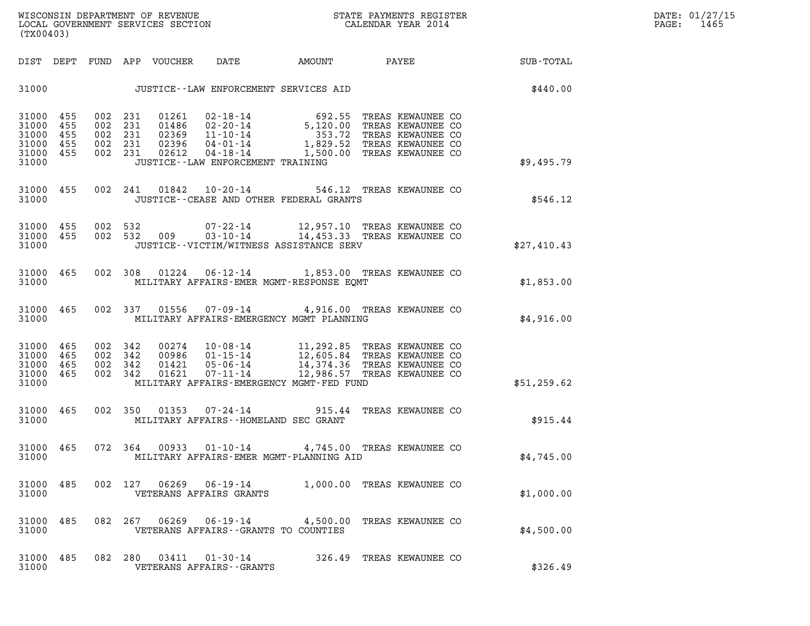| WISCONSIN DEPARTMENT OF REVENUE<br>LOCAL GOVERNMENT SERVICES SECTION TERMS CONFIDER THAT A CALENDAR YEAR 2014<br>(TX00403)                                                                                                                                                                                                                                                                                    | DATE: 01/27/15<br>$\mathtt{PAGE:}$<br>1465 |
|---------------------------------------------------------------------------------------------------------------------------------------------------------------------------------------------------------------------------------------------------------------------------------------------------------------------------------------------------------------------------------------------------------------|--------------------------------------------|
| DIST DEPT FUND APP VOUCHER DATE AMOUNT PAYEE SUB-TOTAL                                                                                                                                                                                                                                                                                                                                                        |                                            |
| \$440.00<br>31000 JUSTICE - LAW ENFORCEMENT SERVICES AID                                                                                                                                                                                                                                                                                                                                                      |                                            |
| 01261 02-18-14 692.55 TREAS KEWAUNEE CO<br>01486 02-20-14 5,120.00 TREAS KEWAUNEE CO<br>02369 11-10-14 353.72 TREAS KEWAUNEE CO<br>02396 04-01-14 1,829.52 TREAS KEWAUNEE CO<br>02612 04-18-14 1,500.00 TREAS KEWAUNEE CO<br>002 231<br>31000 455<br>31000 455<br>002 231<br>31000 455<br>002 231<br>31000 455<br>002 231<br>31000 455<br>002 231<br>31000<br>JUSTICE--LAW ENFORCEMENT TRAINING<br>\$9,495.79 |                                            |
| 31000 455 002 241 01842 10-20-14 546.12 TREAS KEWAUNEE CO<br>\$546.12<br>31000<br>JUSTICE--CEASE AND OTHER FEDERAL GRANTS                                                                                                                                                                                                                                                                                     |                                            |
| 002 532 009 07-22-14 12,957.10 TREAS KEWAUNEE CO<br>002 532 009 03-10-14 14,453.33 TREAS KEWAUNEE CO<br>002 532<br>31000 455<br>31000 455<br>31000<br>JUSTICE--VICTIM/WITNESS ASSISTANCE SERV<br>\$27,410.43                                                                                                                                                                                                  |                                            |
| 002 308 01224 06-12-14 1,853.00 TREAS KEWAUNEE CO<br>31000 465<br>31000<br>MILITARY AFFAIRS-EMER MGMT-RESPONSE EQMT<br>\$1,853.00                                                                                                                                                                                                                                                                             |                                            |
| 002 337 01556 07-09-14 4,916.00 TREAS KEWAUNEE CO<br>31000 465<br>31000<br>MILITARY AFFAIRS-EMERGENCY MGMT PLANNING<br>\$4,916.00                                                                                                                                                                                                                                                                             |                                            |
| 31000 465<br>002 342<br>002 342<br>31000 465<br>31000 465<br>002 342<br>31000 465<br>002 342<br>MILITARY AFFAIRS-EMERGENCY MGMT-FED FUND<br>31000<br>\$51,259.62                                                                                                                                                                                                                                              |                                            |
| 002 350 01353 07-24-14 915.44 TREAS KEWAUNEE CO<br>31000 465<br>31000<br>MILITARY AFFAIRS--HOMELAND SEC GRANT<br>\$915.44                                                                                                                                                                                                                                                                                     |                                            |
| 31000 465 072 364<br>00933  01-10-14  4,745.00  TREAS KEWAUNEE CO<br>\$4,745.00<br>31000<br>MILITARY AFFAIRS-EMER MGMT-PLANNING AID                                                                                                                                                                                                                                                                           |                                            |
| 31000 485<br>002 127 06269 06-19-14 1,000.00 TREAS KEWAUNEE CO<br>31000<br>VETERANS AFFAIRS GRANTS<br>\$1,000.00                                                                                                                                                                                                                                                                                              |                                            |
| 31000 485<br>082 267 06269 06-19-14<br>4,500.00 TREAS KEWAUNEE CO<br>31000<br>VETERANS AFFAIRS -- GRANTS TO COUNTIES<br>\$4,500.00                                                                                                                                                                                                                                                                            |                                            |
| 31000 485<br>082 280<br>326.49 TREAS KEWAUNEE CO<br>31000<br>VETERANS AFFAIRS - - GRANTS<br>\$326.49                                                                                                                                                                                                                                                                                                          |                                            |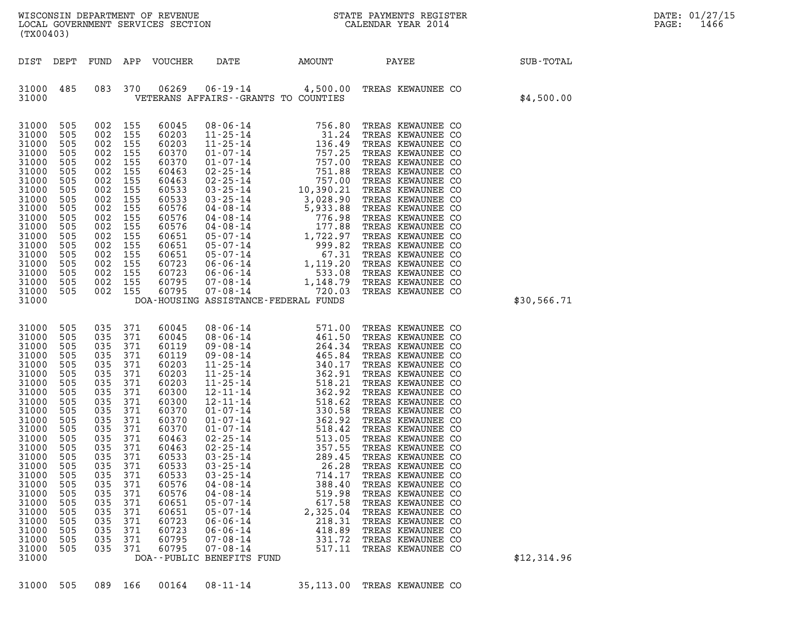| WISCONSIN DEPARTMENT OF REVENUE   | STATE PAYMENTS REGISTER | DATE: 01/27/15 |
|-----------------------------------|-------------------------|----------------|
| LOCAL GOVERNMENT SERVICES SECTION | CALENDAR YEAR 2014      | 1466<br>PAGE:  |

| (TX00403)                                                                                                                                                                                                                              |                                                                                                                                                                             |                                                                                                                                                                                                   |                                                                                                                                                               |                                                                                                                                                                                                                               |                                                                                                                                                                                                                                                                                                                                                                                                                                                                                                                                                                                                  |                                                                                                                       | WISCONSIN DEPARTMENT OF REVENUE<br>LOCAL GOVERNMENT SERVICES SECTION THE STATE PAYMENTS REGISTER<br>(EVACAAC)                                                                                                                                                                                                                                                                                                                                                                                                                             |             | DATE: 01/27/15<br>PAGE:<br>1466 |
|----------------------------------------------------------------------------------------------------------------------------------------------------------------------------------------------------------------------------------------|-----------------------------------------------------------------------------------------------------------------------------------------------------------------------------|---------------------------------------------------------------------------------------------------------------------------------------------------------------------------------------------------|---------------------------------------------------------------------------------------------------------------------------------------------------------------|-------------------------------------------------------------------------------------------------------------------------------------------------------------------------------------------------------------------------------|--------------------------------------------------------------------------------------------------------------------------------------------------------------------------------------------------------------------------------------------------------------------------------------------------------------------------------------------------------------------------------------------------------------------------------------------------------------------------------------------------------------------------------------------------------------------------------------------------|-----------------------------------------------------------------------------------------------------------------------|-------------------------------------------------------------------------------------------------------------------------------------------------------------------------------------------------------------------------------------------------------------------------------------------------------------------------------------------------------------------------------------------------------------------------------------------------------------------------------------------------------------------------------------------|-------------|---------------------------------|
|                                                                                                                                                                                                                                        |                                                                                                                                                                             |                                                                                                                                                                                                   |                                                                                                                                                               | DIST DEPT FUND APP VOUCHER                                                                                                                                                                                                    | DATE                                                                                                                                                                                                                                                                                                                                                                                                                                                                                                                                                                                             | AMOUNT PAYEE                                                                                                          |                                                                                                                                                                                                                                                                                                                                                                                                                                                                                                                                           | SUB-TOTAL   |                                 |
| 31000 485<br>31000                                                                                                                                                                                                                     |                                                                                                                                                                             | 083 370                                                                                                                                                                                           |                                                                                                                                                               | 06269                                                                                                                                                                                                                         | VETERANS AFFAIRS -- GRANTS TO COUNTIES                                                                                                                                                                                                                                                                                                                                                                                                                                                                                                                                                           |                                                                                                                       | 06-19-14 4,500.00 TREAS KEWAUNEE CO                                                                                                                                                                                                                                                                                                                                                                                                                                                                                                       | \$4,500.00  |                                 |
| 31000<br>31000<br>31000<br>31000<br>31000<br>31000<br>31000<br>31000<br>31000<br>31000<br>31000<br>31000<br>31000<br>31000<br>31000<br>31000<br>31000<br>31000<br>31000<br>31000                                                       | 505<br>505<br>505<br>505<br>505<br>505<br>505<br>505<br>505<br>505<br>505<br>505<br>505<br>505<br>505<br>505<br>505<br>505<br>505                                           | 002 155<br>002 155<br>002 155<br>002 155<br>002 155<br>002 155<br>002<br>002 155<br>002<br>002 155<br>002<br>002 155<br>002 155<br>002 155<br>002 155<br>002 155<br>002 155<br>002 155<br>002 155 | 155<br>155<br>155                                                                                                                                             | 60045<br>60203<br>60203<br>60370<br>60370<br>60463<br>60463<br>60533<br>60533<br>60576<br>60576<br>60576<br>60651<br>60651<br>60651<br>60723<br>60723<br>60795<br>60795                                                       | DOA-HOUSING ASSISTANCE-FEDERAL FUNDS                                                                                                                                                                                                                                                                                                                                                                                                                                                                                                                                                             |                                                                                                                       |                                                                                                                                                                                                                                                                                                                                                                                                                                                                                                                                           | \$30,566.71 |                                 |
| 31000<br>31000<br>31000<br>31000<br>31000<br>31000<br>31000<br>31000<br>31000<br>31000<br>31000<br>31000<br>31000<br>31000<br>31000<br>31000<br>31000<br>31000<br>31000<br>31000<br>31000<br>31000<br>31000<br>31000<br>31000<br>31000 | 505<br>505<br>505<br>505<br>505<br>505<br>505<br>505<br>505<br>505<br>505<br>505<br>505<br>505<br>505<br>505<br>505<br>505<br>505<br>505<br>505<br>505<br>505<br>505<br>505 | 035<br>035 371<br>035<br>035<br>035<br>035<br>035<br>035<br>035<br>035<br>035<br>035<br>035<br>035 371<br>035<br>035<br>035<br>035<br>035<br>035<br>035<br>035<br>035<br>035<br>035               | 371<br>371<br>371<br>371<br>371<br>371<br>371<br>371<br>371<br>371<br>371<br>371<br>371<br>371<br>371<br>371<br>371<br>371<br>371<br>371<br>371<br>371<br>371 | 60045<br>60045<br>60119<br>60119<br>60203<br>60203<br>60203<br>60300<br>60300<br>60370<br>60370<br>60370<br>60463<br>60463<br>60533<br>60533<br>60533<br>60576<br>60576<br>60651<br>60651<br>60723<br>60723<br>60795<br>60795 | $\begin{array}{cccc} 08\text{-}06\text{-}14 & 571.00 \\ 08\text{-}06\text{-}14 & 461.50 \\ 09\text{-}08\text{-}14 & 264.34 \\ 11\text{-}25\text{-}14 & 465.84 \\ 11\text{-}25\text{-}14 & 340.17 \\ 11\text{-}25\text{-}14 & 362.91 \\ 12\text{-}11\text{-}14 & 362.92 \\ 12\text{-}11\text{-}14 & 362.92 \\ 01\text{-}07\text{-}14 & 362.$<br>$02 - 25 - 14$<br>$03 - 25 - 14$<br>$03 - 25 - 14$<br>$03 - 25 - 14$<br>$04 - 08 - 14$<br>$04 - 08 - 14$<br>$05 - 07 - 14$<br>$05 - 07 - 14$<br>$06 - 06 - 14$<br>$06 - 06 - 14$<br>$07 - 08 - 14$<br>$07 - 08 - 14$<br>DOA--PUBLIC BENEFITS FUND | 357.55<br>289.45<br>26.28<br>714.17<br>388.40<br>519.98<br>617.58<br>2,325.04<br>218.31<br>418.89<br>331.72<br>517.11 | TREAS KEWAUNEE CO<br>TREAS KEWAUNEE CO<br>TREAS KEWAUNEE CO<br>TREAS KEWAUNEE CO<br>TREAS KEWAUNEE CO<br>TREAS KEWAUNEE CO<br>TREAS KEWAUNEE CO<br>TREAS KEWAUNEE CO<br>TREAS KEWAUNEE CO<br>TREAS KEWAUNEE CO<br>TREAS KEWAUNEE CO<br>TREAS KEWAUNEE CO<br>TREAS KEWAUNEE CO<br>TREAS KEWAUNEE CO<br>TREAS KEWAUNEE CO<br>TREAS KEWAUNEE CO<br>TREAS KEWAUNEE CO<br>TREAS KEWAUNEE CO<br>TREAS KEWAUNEE CO<br>TREAS KEWAUNEE CO<br>TREAS KEWAUNEE CO<br>TREAS KEWAUNEE CO<br>TREAS KEWAUNEE CO<br>TREAS KEWAUNEE CO<br>TREAS KEWAUNEE CO | \$12,314.96 |                                 |

31000 505 089 166 00164 08-11-14 35,113.00 TREAS KEWAUNEE CO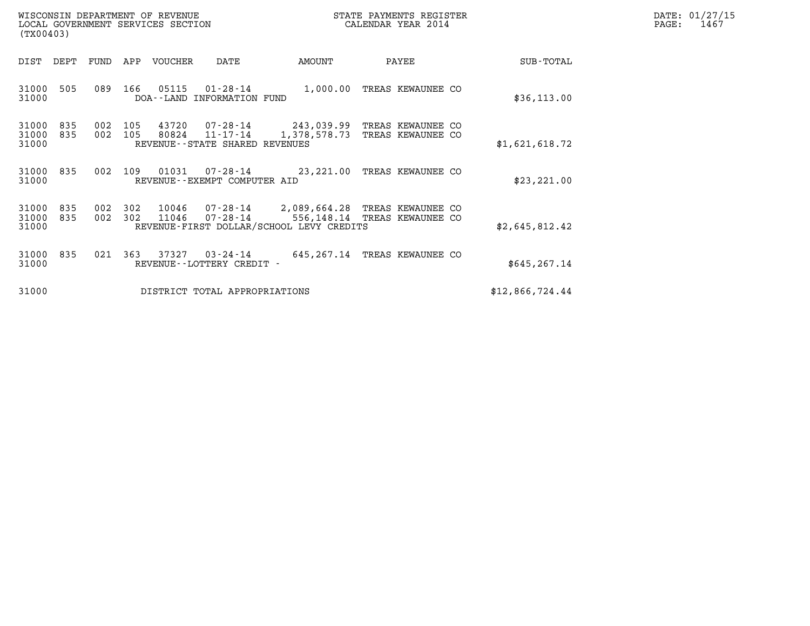| WISCONSIN DEPARTMENT OF REVENUE   | STATE PAYMENTS REGISTER | DATE: 01/27/15 |
|-----------------------------------|-------------------------|----------------|
| LOCAL GOVERNMENT SERVICES SECTION | CALENDAR YEAR 2014      | 1467<br>PAGE:  |

| WISCONSIN DEPARTMENT OF REVENUE<br>LOCAL GOVERNMENT SERVICES SECTION<br>(TX00403) |            |            |            |                |                                                              |                                                                                                          | STATE PAYMENTS REGISTER<br>CALENDAR YEAR 2014 | DATE: 01/27/15<br>PAGE:<br>1467        |                 |  |
|-----------------------------------------------------------------------------------|------------|------------|------------|----------------|--------------------------------------------------------------|----------------------------------------------------------------------------------------------------------|-----------------------------------------------|----------------------------------------|-----------------|--|
| DIST                                                                              | DEPT       | FUND       | APP        | VOUCHER        | DATE                                                         | AMOUNT                                                                                                   |                                               | PAYEE                                  | SUB-TOTAL       |  |
| 31000<br>31000                                                                    | 505        | 089        | 166        | 05115          | 01-28-14<br>DOA--LAND INFORMATION FUND                       | 1,000.00                                                                                                 |                                               | TREAS KEWAUNEE CO                      | \$36, 113.00    |  |
| 31000<br>31000<br>31000                                                           | 835<br>835 | 002<br>002 | 105<br>105 | 43720<br>80824 | 07-28-14<br>$11 - 17 - 14$<br>REVENUE--STATE SHARED REVENUES | 243,039.99<br>1,378,578.73                                                                               |                                               | TREAS KEWAUNEE CO<br>TREAS KEWAUNEE CO | \$1,621,618.72  |  |
| 31000<br>31000                                                                    | 835        | 002        | 109        | 01031          | REVENUE--EXEMPT COMPUTER AID                                 | 07-28-14 23, 221.00 TREAS KEWAUNEE CO                                                                    |                                               |                                        | \$23, 221.00    |  |
| 31000<br>31000<br>31000                                                           | 835<br>835 | 002<br>002 | 302<br>302 | 10046<br>11046 | $07 - 28 - 14$                                               | 2,089,664.28 TREAS KEWAUNEE CO<br>$07 - 28 - 14$ 556, 148.14<br>REVENUE-FIRST DOLLAR/SCHOOL LEVY CREDITS |                                               | TREAS KEWAUNEE CO                      | \$2,645,812.42  |  |
| 31000<br>31000                                                                    | 835        | 021        | 363        | 37327          | 03-24-14<br>REVENUE - - LOTTERY CREDIT -                     | 645, 267.14 TREAS KEWAUNEE CO                                                                            |                                               |                                        | \$645, 267.14   |  |
| 31000                                                                             |            |            |            |                | DISTRICT TOTAL APPROPRIATIONS                                |                                                                                                          |                                               |                                        | \$12,866,724.44 |  |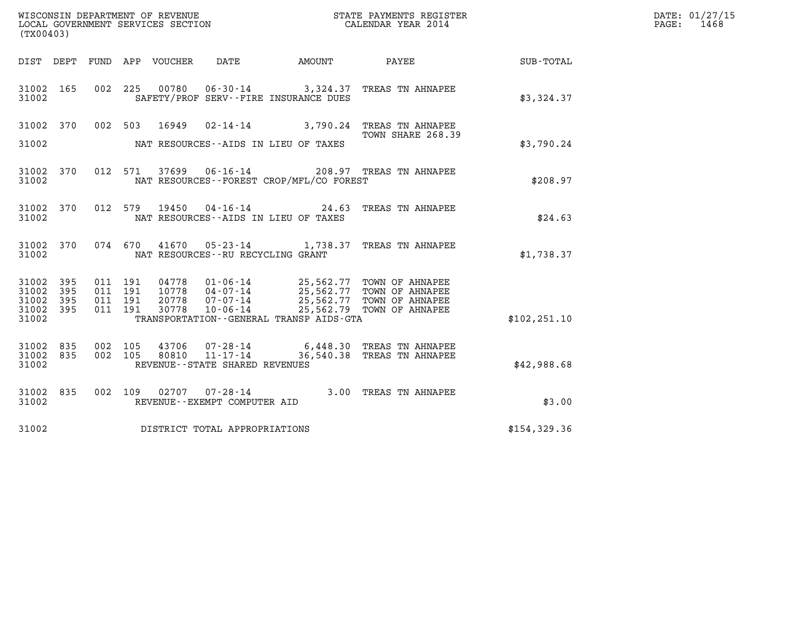| (TX00403)                                 |                          |     | WISCONSIN DEPARTMENT OF REVENUE<br>LOCAL GOVERNMENT SERVICES SECTION |                                     |                                          | STATE PAYMENTS REGISTER<br>CALENDAR YEAR 2014                                                                                                                                              |               | DATE: 01/27/15<br>1468<br>PAGE: |
|-------------------------------------------|--------------------------|-----|----------------------------------------------------------------------|-------------------------------------|------------------------------------------|--------------------------------------------------------------------------------------------------------------------------------------------------------------------------------------------|---------------|---------------------------------|
|                                           |                          |     | DIST DEPT FUND APP VOUCHER                                           | DATE                                | AMOUNT PAYEE                             |                                                                                                                                                                                            | SUB-TOTAL     |                                 |
| 31002 165<br>31002                        |                          |     | 002 225                                                              |                                     | SAFETY/PROF SERV--FIRE INSURANCE DUES    | 00780  06-30-14  3,324.37  TREAS TN AHNAPEE                                                                                                                                                | \$3,324.37    |                                 |
| 31002 370                                 |                          |     | 002 503 16949                                                        |                                     |                                          | $02 - 14 - 14$ 3,790.24 TREAS TN AHNAPEE<br>TOWN SHARE 268.39                                                                                                                              |               |                                 |
| 31002                                     |                          |     |                                                                      |                                     | NAT RESOURCES--AIDS IN LIEU OF TAXES     |                                                                                                                                                                                            | \$3,790.24    |                                 |
| 31002 370<br>31002                        |                          |     | 012 571                                                              |                                     | NAT RESOURCES--FOREST CROP/MFL/CO FOREST | 37699   06-16-14   208.97   TREAS TN AHNAPEE                                                                                                                                               | \$208.97      |                                 |
| 31002 370<br>31002                        |                          |     | 012 579                                                              |                                     | NAT RESOURCES--AIDS IN LIEU OF TAXES     | 19450  04-16-14  24.63  TREAS TN AHNAPEE                                                                                                                                                   | \$24.63       |                                 |
| 31002 370<br>31002                        |                          |     | 074 670<br>41670                                                     | NAT RESOURCES -- RU RECYCLING GRANT |                                          | 05-23-14 1,738.37 TREAS TN AHNAPEE                                                                                                                                                         | \$1,738.37    |                                 |
| 31002<br>31002<br>31002<br>31002<br>31002 | 395<br>395<br>395<br>395 |     | 011 191<br>011 191<br>011 191<br>20778<br>011 191<br>30778           | 07-07-14<br>10-06-14                | TRANSPORTATION--GENERAL TRANSP AIDS-GTA  | 04778 01-06-14 25,562.77 TOWN OF AHNAPEE<br>10778 04-07-14 25,562.77 TOWN OF AHNAPEE<br>20778 07-07-14 25.562.77 TOWN OF AHNAPEE<br>25,562.77 TOWN OF AHNAPEE<br>25,562.79 TOWN OF AHNAPEE | \$102, 251.10 |                                 |
| 31002<br>31002 835<br>31002               | 835                      | 002 | 105<br>43706<br>002 105<br>80810                                     | REVENUE--STATE SHARED REVENUES      |                                          | 07-28-14 6,448.30 TREAS TN AHNAPEE<br>11-17-14 36,540.38 TREAS TN AHNAPEE                                                                                                                  | \$42,988.68   |                                 |
| 31002 835<br>31002                        |                          |     | 002 109                                                              | REVENUE--EXEMPT COMPUTER AID        |                                          | 02707  07-28-14  3.00 TREAS TN AHNAPEE                                                                                                                                                     | \$3.00        |                                 |
| 31002                                     |                          |     | DISTRICT TOTAL APPROPRIATIONS                                        |                                     |                                          |                                                                                                                                                                                            | \$154,329.36  |                                 |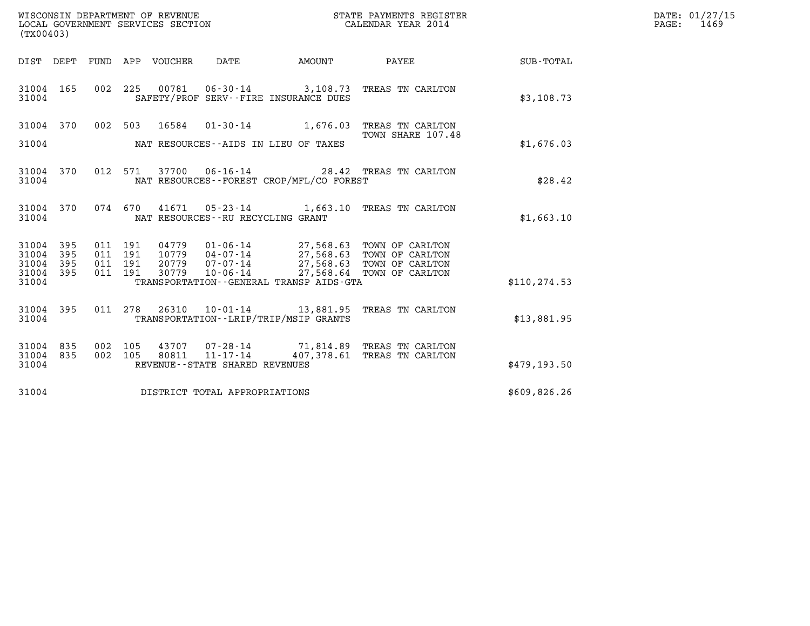| WISCONSIN DEPARTMENT OF REVENUE<br>LOCAL GOVERNMENT SERVICES SECTION | STATE PAYMENTS REGISTER<br>CALENDAR YEAR 2014 | DATE: 01/27/15<br>1469<br>PAGE: |
|----------------------------------------------------------------------|-----------------------------------------------|---------------------------------|

| (TX00403)          |            |            |            |         |                                      |                                                                      |                                                                                     |                  |
|--------------------|------------|------------|------------|---------|--------------------------------------|----------------------------------------------------------------------|-------------------------------------------------------------------------------------|------------------|
| DIST               | DEPT       | FUND       | APP        | VOUCHER | DATE                                 | <b>AMOUNT</b>                                                        | <b>PAYEE</b> FOR THE PAYEE                                                          | <b>SUB-TOTAL</b> |
| 31004<br>31004     | 165        | 002        | 225        |         |                                      | $00781$ $06-30-14$ 3,108.73<br>SAFETY/PROF SERV--FIRE INSURANCE DUES | TREAS TN CARLTON                                                                    | \$3,108.73       |
| 31004 370          |            | 002        | 503        |         |                                      | 16584 01-30-14 1,676.03                                              | TREAS TN CARLTON<br>TOWN SHARE 107.48                                               |                  |
| 31004              |            |            |            |         |                                      | NAT RESOURCES--AIDS IN LIEU OF TAXES                                 |                                                                                     | \$1,676.03       |
| 31004<br>31004     | 370        | 012        | 571        |         |                                      | NAT RESOURCES - - FOREST CROP/MFL/CO FOREST                          | 37700  06-16-14  28.42  TREAS TN CARLTON                                            | \$28.42          |
| 31004<br>31004     | 370        | 074        | 670        |         | NAT RESOURCES - - RU RECYCLING GRANT | 41671 05-23-14 1,663.10                                              | TREAS TN CARLTON                                                                    | \$1,663.10       |
| 31004<br>31004     | 395<br>395 | 011<br>011 | 191<br>191 |         | 04779 01-06-14                       |                                                                      | 27,568.63 TOWN OF CARLTON<br>27,568.63 TOWN OF CARLTON                              |                  |
| 31004<br>31004     | 395<br>395 | 011<br>011 | 191<br>191 | 30779   | $10 - 06 - 14$                       |                                                                      | 27,568.63 TOWN OF CARLTON<br>27,568.63 TOWN OF CARLTON<br>27,568.64 TOWN OF CARLTON |                  |
| 31004              |            |            |            |         |                                      | TRANSPORTATION - - GENERAL TRANSP AIDS - GTA                         |                                                                                     | \$110, 274.53    |
| 31004 395<br>31004 |            |            | 011 278    |         |                                      | TRANSPORTATION--LRIP/TRIP/MSIP GRANTS                                | 26310  10-01-14  13,881.95  TREAS TN CARLTON                                        | \$13,881.95      |
| 31004<br>31004     | 835<br>835 | 002<br>002 | 105<br>105 | 80811   | $11 - 17 - 14$                       |                                                                      | 43707 07-28-14 71,814.89 TREAS TN CARLTON<br>407,378.61 TREAS TN CARLTON            |                  |
| 31004              |            |            |            |         | REVENUE - - STATE SHARED REVENUES    |                                                                      |                                                                                     | \$479,193.50     |
| 31004              |            |            |            |         | DISTRICT TOTAL APPROPRIATIONS        |                                                                      |                                                                                     | \$609,826.26     |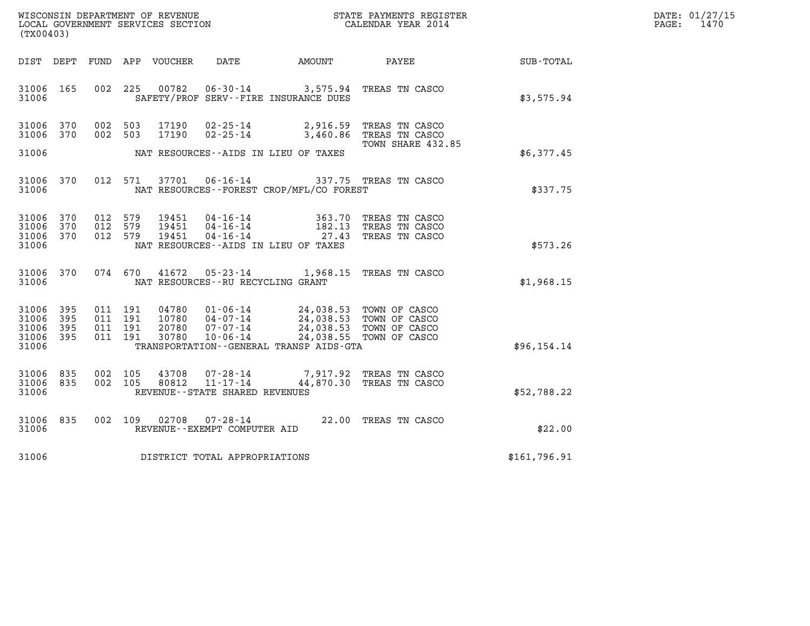| DATE: | 01/27/15 |
|-------|----------|
| PAGE: | 1470     |

| (TX00403)                                     |                   |                                          |                                  |                                                     |                                                                                                                                                                                                        |                                                           |                             | DATE: 01/27/15<br>$\mathtt{PAGE}$ :<br>1470 |
|-----------------------------------------------|-------------------|------------------------------------------|----------------------------------|-----------------------------------------------------|--------------------------------------------------------------------------------------------------------------------------------------------------------------------------------------------------------|-----------------------------------------------------------|-----------------------------|---------------------------------------------|
| DIST DEPT                                     |                   |                                          | FUND APP VOUCHER                 |                                                     |                                                                                                                                                                                                        |                                                           | DATE AMOUNT PAYEE SUB-TOTAL |                                             |
| 31006 165<br>31006                            |                   | 002 225                                  | 00782                            |                                                     | 06-30-14 3,575.94 TREAS TN CASCO<br>SAFETY/PROF SERV--FIRE INSURANCE DUES                                                                                                                              |                                                           | \$3,575.94                  |                                             |
| 31006 370<br>31006 370                        |                   | 002 503<br>002 503                       | 17190<br>17190                   |                                                     | 02-25-14 2,916.59 TREAS TN CASCO<br>02-25-14 3,460.86 TREAS TN CASCO                                                                                                                                   | TOWN SHARE 432.85                                         |                             |                                             |
| 31006                                         |                   |                                          |                                  |                                                     | NAT RESOURCES--AIDS IN LIEU OF TAXES                                                                                                                                                                   |                                                           | \$6,377.45                  |                                             |
| 31006 370<br>31006                            |                   | 012 571                                  | 37701                            |                                                     | 06-16-14 337.75 TREAS TN CASCO<br>NAT RESOURCES--FOREST CROP/MFL/CO FOREST                                                                                                                             |                                                           | \$337.75                    |                                             |
| 31006 370<br>31006<br>31006 370<br>31006      | 370               | 012 579<br>012 579<br>012 579            | 19451<br>19451<br>19451          |                                                     | $\begin{array}{cccc} 04\texttt{-}16\texttt{-}14 & & & 363.70 \\ 04\texttt{-}16\texttt{-}14 & & & 182.13 \\ 04\texttt{-}16\texttt{-}14 & & & 27.43 \end{array}$<br>NAT RESOURCES--AIDS IN LIEU OF TAXES | 363.70 TREAS TN CASCO<br>TREAS TN CASCO<br>TREAS TN CASCO | \$573.26                    |                                             |
| 31006 370<br>31006                            |                   | 074 670                                  |                                  | NAT RESOURCES--RU RECYCLING GRANT                   | 41672  05-23-14  1,968.15  TREAS TN CASCO                                                                                                                                                              |                                                           | \$1,968.15                  |                                             |
| 31006 395<br>31006<br>31006<br>31006<br>31006 | 395<br>395<br>395 | 011 191<br>011 191<br>011 191<br>011 191 | 04780<br>10780<br>20780<br>30780 | $07 - 07 - 14$<br>$10 - 06 - 14$                    | 01-06-14 24,038.53 TOWN OF CASCO<br>04-07-14 24,038.53 TOWN OF CASCO<br>07-07-14 24,038.53 TOWN OF CASCO<br>TRANSPORTATION - - GENERAL TRANSP AIDS - GTA                                               | 24,038.53 TOWN OF CASCO<br>24,038.55 TOWN OF CASCO        | \$96, 154.14                |                                             |
| 31006<br>31006<br>31006                       | 835<br>835        | 002 105<br>002 105                       | 43708<br>80812                   | $11 - 17 - 14$<br>REVENUE - - STATE SHARED REVENUES | 07-28-14 7,917.92 TREAS TN CASCO                                                                                                                                                                       | 44,870.30 TREAS TN CASCO                                  | \$52,788.22                 |                                             |
| 31006<br>31006                                | 835               | 002 109                                  |                                  | REVENUE--EXEMPT COMPUTER AID                        |                                                                                                                                                                                                        | 02708  07-28-14  22.00 TREAS TN CASCO                     | \$22.00                     |                                             |
| 31006                                         |                   |                                          |                                  | DISTRICT TOTAL APPROPRIATIONS                       |                                                                                                                                                                                                        |                                                           | \$161,796.91                |                                             |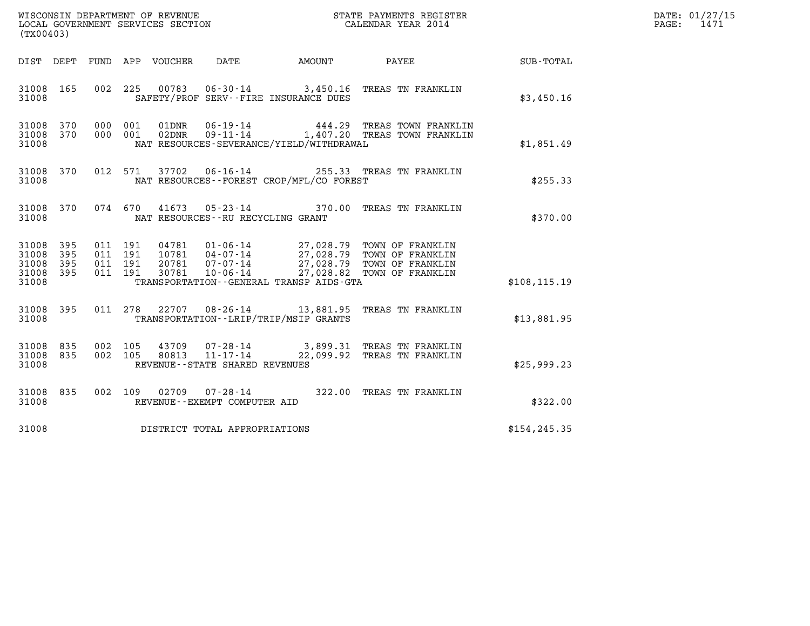| WISCONSIN DEPARTMENT OF REVENUE<br>LOCAL GOVERNMENT SERVICES SECTION<br>. | STATE PAYMENTS REGISTER<br>CALENDAR YEAR 2014 | DATE: 01/27/15<br>1471<br>PAGE: |
|---------------------------------------------------------------------------|-----------------------------------------------|---------------------------------|

| (TX00403)                                                             |                                                                                                                                                                                                                                                                                                                                             |               |
|-----------------------------------------------------------------------|---------------------------------------------------------------------------------------------------------------------------------------------------------------------------------------------------------------------------------------------------------------------------------------------------------------------------------------------|---------------|
| DIST<br>DEPT                                                          | DATE<br>FUND APP VOUCHER<br><b>EXAMPLE THE PROPERTY OF AMOUNT</b><br>PAYEE                                                                                                                                                                                                                                                                  | SUB-TOTAL     |
| 165<br>31008<br>31008                                                 | 002<br>225<br>00783  06-30-14  3,450.16  TREAS TN FRANKLIN<br>SAFETY/PROF SERV--FIRE INSURANCE DUES                                                                                                                                                                                                                                         | \$3,450.16    |
| 370<br>31008<br>370<br>31008<br>31008                                 | 000<br>$06 - 19 - 14$<br>001<br>01DNR<br>444.29 TREAS TOWN FRANKLIN<br>$09 - 11 - 14$<br>000<br>001<br>02DNR<br>1,407.20 TREAS TOWN FRANKLIN<br>NAT RESOURCES-SEVERANCE/YIELD/WITHDRAWAL                                                                                                                                                    | \$1,851.49    |
| 370<br>31008<br>31008                                                 | 37702<br>012<br>571<br>$06 - 16 - 14$<br>255.33 TREAS TN FRANKLIN<br>NAT RESOURCES - - FOREST CROP/MFL/CO FOREST                                                                                                                                                                                                                            | \$255.33      |
| 370<br>31008<br>31008                                                 | 074<br>670<br>41673 05-23-14 370.00<br>TREAS TN FRANKLIN<br>NAT RESOURCES - - RU RECYCLING GRANT                                                                                                                                                                                                                                            | \$370.00      |
| 31008<br>395<br>395<br>31008<br>31008<br>395<br>395<br>31008<br>31008 | 011<br>191<br>$01 - 06 - 14$<br>27,028.79 TOWN OF FRANKLIN<br>27,028.79 TOWN OF FRANKLIN<br>04781<br>$04 - 07 - 14$<br>191<br>10781<br>011<br>27,028.79 TOWN OF FRANKLIN<br>191<br>20781<br>$07 - 07 - 14$<br>011<br>27,028.82<br>191<br>011<br>30781<br>$10 - 06 - 14$<br>TOWN OF FRANKLIN<br>TRANSPORTATION - - GENERAL TRANSP AIDS - GTA | \$108, 115.19 |
| 395<br>31008<br>31008                                                 | 278<br>$08 - 26 - 14$ 13,881.95<br>011<br>22707<br>TREAS TN FRANKLIN<br>TRANSPORTATION - - LRIP/TRIP/MSIP GRANTS                                                                                                                                                                                                                            | \$13,881.95   |
| 835<br>31008<br>835<br>31008<br>31008                                 | 002<br>105<br>43709<br>$07 - 28 - 14$<br>3,899.31 TREAS TN FRANKLIN<br>$11 - 17 - 14$<br>105<br>22,099.92<br>002<br>80813<br>TREAS TN FRANKLIN<br>REVENUE - - STATE SHARED REVENUES                                                                                                                                                         | \$25,999.23   |
| 31008<br>835<br>31008                                                 | 002<br>109<br>02709<br>$07 - 28 - 14$<br>322.00<br>TREAS TN FRANKLIN<br>REVENUE--EXEMPT COMPUTER AID                                                                                                                                                                                                                                        | \$322.00      |
| 31008                                                                 | DISTRICT TOTAL APPROPRIATIONS                                                                                                                                                                                                                                                                                                               | \$154, 245.35 |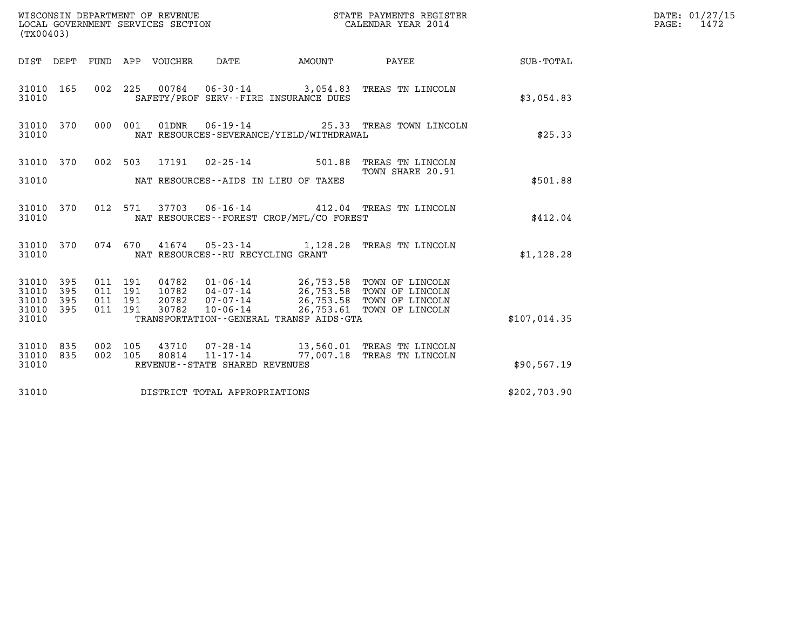|                                 | WISCONSIN DEPARTMENT OF REVENUE<br>LOCAL GOVERNMENT SERVICES SECTION<br>STATE PAYMENTS REGISTER<br>CALENDAR YEAR 2014<br>(TX00403) |                    |                    |                                 |                                      |                                          |                                                                                                                         |                  | DATE: 01/27/15<br>$\mathtt{PAGE}$ :<br>1472 |
|---------------------------------|------------------------------------------------------------------------------------------------------------------------------------|--------------------|--------------------|---------------------------------|--------------------------------------|------------------------------------------|-------------------------------------------------------------------------------------------------------------------------|------------------|---------------------------------------------|
|                                 |                                                                                                                                    |                    |                    | DIST DEPT FUND APP VOUCHER DATE |                                      | AMOUNT                                   | PAYEE                                                                                                                   | <b>SUB-TOTAL</b> |                                             |
| 31010 165<br>31010              |                                                                                                                                    |                    |                    |                                 |                                      | SAFETY/PROF SERV--FIRE INSURANCE DUES    | 002 225 00784 06-30-14 3,054.83 TREAS TN LINCOLN                                                                        | \$3.054.83       |                                             |
| 31010 370<br>31010              |                                                                                                                                    |                    | 000 001            |                                 |                                      | NAT RESOURCES-SEVERANCE/YIELD/WITHDRAWAL | 01DNR  06-19-14  25.33 TREAS TOWN LINCOLN                                                                               | \$25.33          |                                             |
| 31010 370                       |                                                                                                                                    |                    |                    |                                 |                                      | 002 503 17191 02-25-14 501.88            | TREAS TN LINCOLN<br>TOWN SHARE 20.91                                                                                    |                  |                                             |
| 31010                           |                                                                                                                                    |                    |                    |                                 |                                      | NAT RESOURCES--AIDS IN LIEU OF TAXES     |                                                                                                                         | \$501.88         |                                             |
| 31010 370<br>31010              |                                                                                                                                    |                    |                    |                                 |                                      | NAT RESOURCES--FOREST CROP/MFL/CO FOREST | 012 571 37703 06-16-14 412.04 TREAS TN LINCOLN                                                                          | \$412.04         |                                             |
| 31010 370<br>31010              |                                                                                                                                    |                    |                    |                                 | NAT RESOURCES - - RU RECYCLING GRANT |                                          | 074 670 41674 05-23-14 1,128.28 TREAS TN LINCOLN                                                                        | \$1,128.28       |                                             |
| 31010 395<br>31010<br>31010     | 395<br>395                                                                                                                         | 011 191<br>011 191 | 011 191<br>011 191 | 20782<br>30782                  | 07-07-14                             |                                          | 04782  01-06-14  26,753.58  TOWN OF LINCOLN<br>10782  04-07-14  26,753.58  TOWN OF LINCOLN<br>26,753.58 TOWN OF LINCOLN |                  |                                             |
| 31010 395<br>31010              |                                                                                                                                    |                    |                    |                                 | $10 - 06 - 14$                       | TRANSPORTATION--GENERAL TRANSP AIDS-GTA  | 26,753.61 TOWN OF LINCOLN                                                                                               | \$107,014.35     |                                             |
| 31010 835<br>31010 835<br>31010 |                                                                                                                                    | 002 105<br>002 105 |                    |                                 | REVENUE--STATE SHARED REVENUES       |                                          | 43710  07-28-14  13,560.01 TREAS TN LINCOLN<br>80814  11-17-14  77,007.18  TREAS TN LINCOLN                             | \$90, 567.19     |                                             |
| 31010                           |                                                                                                                                    |                    |                    |                                 | DISTRICT TOTAL APPROPRIATIONS        |                                          |                                                                                                                         | \$202,703.90     |                                             |
|                                 |                                                                                                                                    |                    |                    |                                 |                                      |                                          |                                                                                                                         |                  |                                             |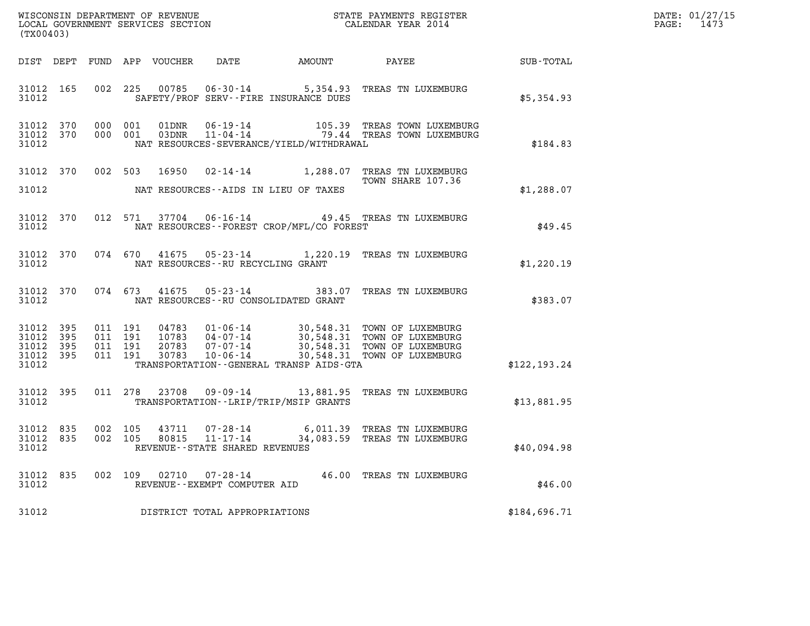|                                          | (TX00403)        |                               |         |       |                                                     |                                          | DATE: 01/27/15<br>1473<br>$\mathtt{PAGE:}$                                      |               |  |
|------------------------------------------|------------------|-------------------------------|---------|-------|-----------------------------------------------------|------------------------------------------|---------------------------------------------------------------------------------|---------------|--|
|                                          |                  |                               |         |       |                                                     |                                          | DIST DEPT FUND APP VOUCHER DATE AMOUNT PAYEE TO SUB-TOTAL                       |               |  |
| 31012                                    | 31012 165        |                               |         |       |                                                     | SAFETY/PROF SERV--FIRE INSURANCE DUES    | 002 225 00785 06-30-14 5,354.93 TREAS TN LUXEMBURG                              | \$5,354.93    |  |
| 31012 370 000 001<br>31012               | 31012 370        | 000 001                       |         |       |                                                     | NAT RESOURCES-SEVERANCE/YIELD/WITHDRAWAL |                                                                                 | \$184.83      |  |
| 31012                                    | 31012 370        |                               |         |       |                                                     | NAT RESOURCES--AIDS IN LIEU OF TAXES     | 002 503 16950 02-14-14 1,288.07 TREAS TN LUXEMBURG<br>TOWN SHARE 107.36         | \$1,288.07    |  |
| 31012                                    |                  |                               |         |       |                                                     | NAT RESOURCES--FOREST CROP/MFL/CO FOREST | 31012 370 012 571 37704 06-16-14 49.45 TREAS TN LUXEMBURG                       | \$49.45       |  |
| 31012                                    |                  |                               |         |       | NAT RESOURCES--RU RECYCLING GRANT                   |                                          | 31012 370 074 670 41675 05-23-14 1,220.19 TREAS TN LUXEMBURG                    | \$1,220.19    |  |
| 31012                                    |                  |                               |         |       |                                                     | NAT RESOURCES--RU CONSOLIDATED GRANT     | 31012 370 074 673 41675 05-23-14 383.07 TREAS TN LUXEMBURG                      | \$383.07      |  |
| 31012 395<br>31012<br>31012 395<br>31012 | 395<br>31012 395 | 011 191<br>011 191<br>011 191 | 011 191 |       |                                                     | TRANSPORTATION--GENERAL TRANSP AIDS-GTA  |                                                                                 | \$122, 193.24 |  |
| 31012 395<br>31012                       |                  |                               |         |       |                                                     | TRANSPORTATION--LRIP/TRIP/MSIP GRANTS    | 011  278  23708  09-09-14  13,881.95  TREAS TN LUXEMBURG                        | \$13,881.95   |  |
| 31012 835<br>31012 835<br>31012          |                  | 002 105<br>002 105            |         |       | 80815 11-17-14<br>REVENUE - - STATE SHARED REVENUES |                                          | 43711  07-28-14   6,011.39   TREAS TN LUXEMBURG<br>34,083.59 TREAS TN LUXEMBURG | \$40,094.98   |  |
| 31012 835<br>31012                       |                  | 002 109                       |         | 02710 | 07-28-14<br>REVENUE--EXEMPT COMPUTER AID            |                                          | 46.00 TREAS TN LUXEMBURG                                                        | \$46.00       |  |
| 31012                                    |                  |                               |         |       | DISTRICT TOTAL APPROPRIATIONS                       |                                          |                                                                                 | \$184,696.71  |  |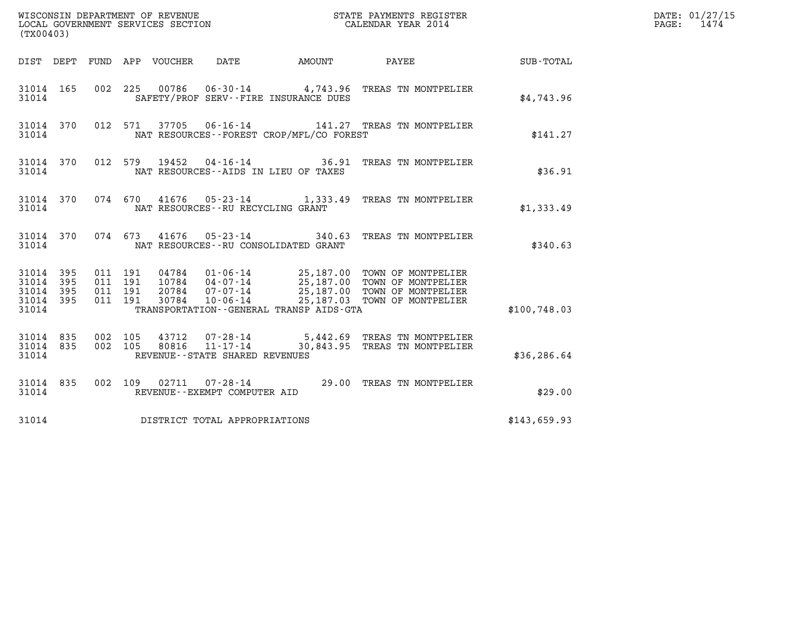| (TX00403)                                                    | WISCONSIN DEPARTMENT OF REVENUE<br>LOCAL GOVERNMENT SERVICES SECTION<br>(TWOO402) CALENDAR YEAR 2014                                                                                                                                                                                    |                                                                                                 |              | DATE: 01/27/15<br>PAGE: 1474 |
|--------------------------------------------------------------|-----------------------------------------------------------------------------------------------------------------------------------------------------------------------------------------------------------------------------------------------------------------------------------------|-------------------------------------------------------------------------------------------------|--------------|------------------------------|
|                                                              | DIST DEPT FUND APP VOUCHER DATE                                                                                                                                                                                                                                                         | AMOUNT PAYEE SUB-TOTAL                                                                          |              |                              |
| 31014 165<br>31014                                           | 002 225 00786 06-30-14 4,743.96 TREAS TN MONTPELIER<br>SAFETY/PROF SERV--FIRE INSURANCE DUES                                                                                                                                                                                            |                                                                                                 | \$4,743.96   |                              |
| 31014 370<br>31014                                           | 012 571 37705 06-16-14 141.27 TREAS TN MONTPELIER<br>NAT RESOURCES--FOREST CROP/MFL/CO FOREST                                                                                                                                                                                           |                                                                                                 | \$141.27     |                              |
| 31014 370<br>31014                                           | 012 579 19452 04-16-14 36.91 TREAS TN MONTPELIER<br>NAT RESOURCES--AIDS IN LIEU OF TAXES                                                                                                                                                                                                |                                                                                                 | \$36.91      |                              |
| 31014                                                        | 31014 370 074 670 41676 05-23-14 1,333.49 TREAS TN MONTPELIER<br>NAT RESOURCES -- RU RECYCLING GRANT                                                                                                                                                                                    |                                                                                                 | \$1,333.49   |                              |
| 31014                                                        | 31014 370 074 673 41676 05-23-14 340.63 TREAS TN MONTPELIER<br>NAT RESOURCES--RU CONSOLIDATED GRANT                                                                                                                                                                                     |                                                                                                 | \$340.63     |                              |
| 31014 395<br>31014 395<br>31014<br>395<br>31014 395<br>31014 | 011 191<br>04784  01-06-14  25,187.00 TOWN OF MONTPELIER<br>10784  04-07-14  25,187.00 TOWN OF MONTPELIER<br>20784  07-07-14  25,187.00 TOWN OF MONTPELIER<br>30784  10-06-14  25,187.03 TOWN OF MONTPELIER<br>011 191<br>011 191<br>011 191<br>TRANSPORTATION--GENERAL TRANSP AIDS-GTA |                                                                                                 | \$100,748.03 |                              |
| 31014 835<br>31014 835<br>31014                              | 002 105<br>002 105<br>REVENUE--STATE SHARED REVENUES                                                                                                                                                                                                                                    | 43712  07-28-14  5,442.69 TREAS TN MONTPELIER<br>80816  11-17-14  30,843.95 TREAS TN MONTPELIER | \$36,286.64  |                              |
| 31014 835<br>31014                                           | 002 109 02711 07-28-14 29.00 TREAS TN MONTPELIER<br>REVENUE--EXEMPT COMPUTER AID                                                                                                                                                                                                        |                                                                                                 | \$29.00      |                              |
| 31014                                                        | DISTRICT TOTAL APPROPRIATIONS                                                                                                                                                                                                                                                           |                                                                                                 | \$143,659.93 |                              |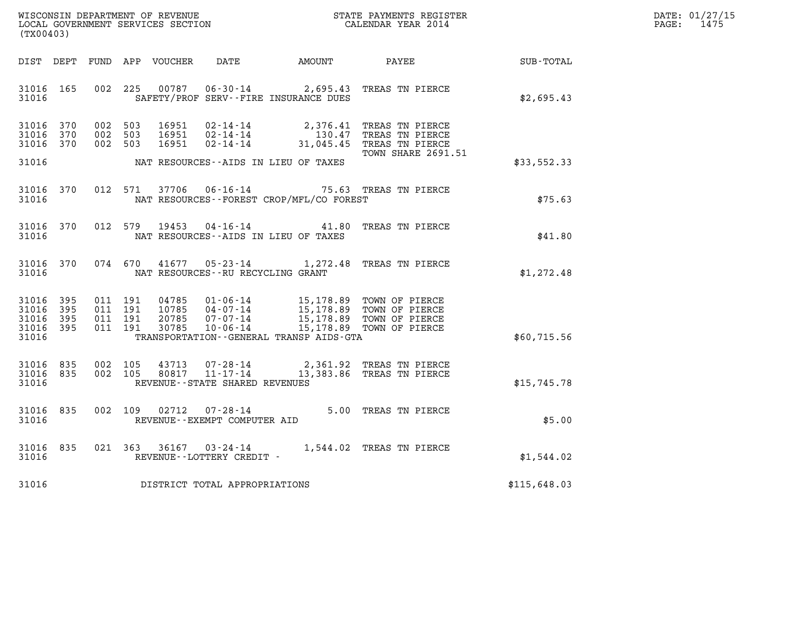| WISCONSIN DEPARTMENT OF REVENUE   | STATE PAYMENTS REGISTER | DATE: 01/27/15 |
|-----------------------------------|-------------------------|----------------|
| LOCAL GOVERNMENT SERVICES SECTION | CALENDAR YEAR 2014      | 1475<br>PAGE:  |

| (TX00403)                                                 | WISCONSIN DEPARTMENT OF REVENUE<br>LOCAL GOVERNMENT SERVICES SECTION FOR THE SERVICES OF CALENDAR YEAR 2014 |  |                                                                                                                                                                                                                                                                                                                                                                                              |  |                    |                                                              | DATE: 01/27/15<br>$\mathtt{PAGE:}$<br>1475 |
|-----------------------------------------------------------|-------------------------------------------------------------------------------------------------------------|--|----------------------------------------------------------------------------------------------------------------------------------------------------------------------------------------------------------------------------------------------------------------------------------------------------------------------------------------------------------------------------------------------|--|--------------------|--------------------------------------------------------------|--------------------------------------------|
|                                                           |                                                                                                             |  |                                                                                                                                                                                                                                                                                                                                                                                              |  |                    | DIST DEPT FUND APP VOUCHER DATE AMOUNT PAYEE PAYEE SUB-TOTAL |                                            |
| 31016                                                     |                                                                                                             |  | 31016 165 002 225 00787 06-30-14 2,695.43 TREAS TN PIERCE<br>SAFETY/PROF SERV--FIRE INSURANCE DUES                                                                                                                                                                                                                                                                                           |  |                    | \$2,695.43                                                   |                                            |
| 31016 370<br>31016 370<br>31016 370                       |                                                                                                             |  | 002 503 16951 02-14-14 2,376.41 TREAS TN PIERCE<br>002 503 16951 02-14-14 130.47 TREAS TN PIERCE<br>002 503 16951 02-14-14 31,045.45 TREAS TN PIERCE<br>31016 MAT RESOURCES--AIDS IN LIEU OF TAXES                                                                                                                                                                                           |  | TOWN SHARE 2691.51 | \$33,552.33                                                  |                                            |
| 31016 370<br>31016                                        |                                                                                                             |  | 012 571 37706 06-16-14 75.63 TREAS TN PIERCE<br>NAT RESOURCES--FOREST CROP/MFL/CO FOREST                                                                                                                                                                                                                                                                                                     |  |                    | \$75.63                                                      |                                            |
| 31016 370<br>31016                                        |                                                                                                             |  | 012 579 19453 04-16-14 41.80 TREAS TN PIERCE<br>NAT RESOURCES--AIDS IN LIEU OF TAXES                                                                                                                                                                                                                                                                                                         |  |                    | \$41.80                                                      |                                            |
|                                                           |                                                                                                             |  | 31016 370 074 670 41677 05-23-14 1,272.48 TREAS TN PIERCE<br>31016 MAT RESOURCES--RU RECYCLING GRANT                                                                                                                                                                                                                                                                                         |  |                    | \$1,272.48                                                   |                                            |
| 31016 395<br>31016 395<br>31016 395<br>31016 395<br>31016 |                                                                                                             |  | $\begin{tabular}{cccc} 011 & 191 & 04785 & 01\text{-}06\text{-}14 & 15,178.89 & \text{TOWN OF PIERCE} \\ 011 & 191 & 10785 & 04\text{-}07\text{-}14 & 15,178.89 & \text{TOWN OF PIERCE} \\ 011 & 191 & 20785 & 07\text{-}07\text{-}14 & 15,178.89 & \text{TOWN OF PIERCE} \\ 011 & 191 & 30785 & 10\text{-}06\text{-}14 & 15,178.89 & \text$<br>TRANSPORTATION - - GENERAL TRANSP AIDS - GTA |  |                    | \$60,715.56                                                  |                                            |
| 31016 835<br>31016 835<br>31016                           |                                                                                                             |  | 002 105 43713 07-28-14 2,361.92 TREAS TN PIERCE<br>002 105 80817 11-17-14 13,383.86 TREAS TN PIERCE<br>REVENUE--STATE SHARED REVENUES                                                                                                                                                                                                                                                        |  |                    | \$15,745.78                                                  |                                            |
| 31016 835<br>31016                                        |                                                                                                             |  | 002  109  02712  07-28-14  5.00 TREAS TN PIERCE<br>REVENUE--EXEMPT COMPUTER AID                                                                                                                                                                                                                                                                                                              |  |                    | \$5.00                                                       |                                            |
| 31016 835<br>31016                                        |                                                                                                             |  | 021 363 36167 03-24-14 1,544.02 TREAS TN PIERCE<br>REVENUE--LOTTERY CREDIT -                                                                                                                                                                                                                                                                                                                 |  |                    | \$1,544.02                                                   |                                            |
|                                                           |                                                                                                             |  | 31016 DISTRICT TOTAL APPROPRIATIONS                                                                                                                                                                                                                                                                                                                                                          |  |                    | \$115,648.03                                                 |                                            |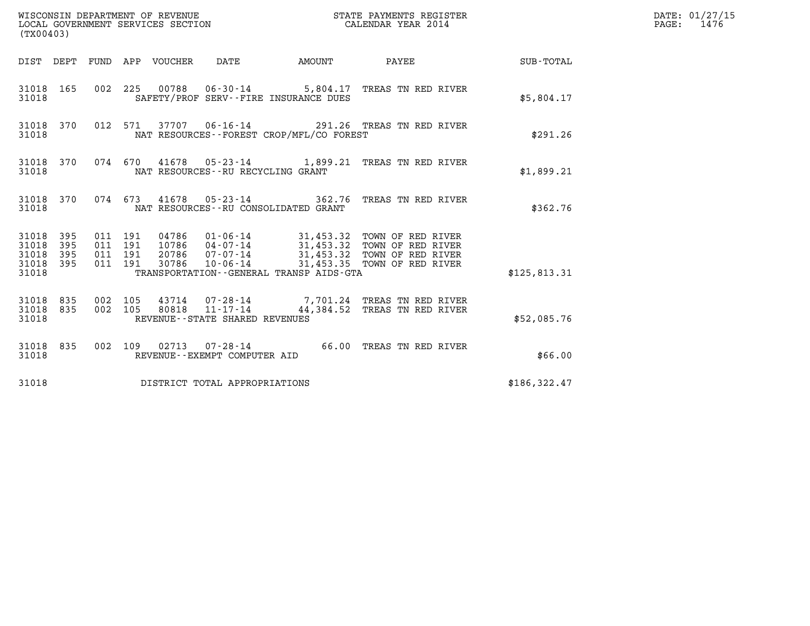| (TX00403)                                                       | WISCONSIN DEPARTMENT OF REVENUE<br>LOCAL GOVERNMENT SERVICES SECTION |                                               |                                          | STATE PAYMENTS REGISTER<br>CALENDAR YEAR 2014                                                                                                                                  |               | DATE: 01/27/15<br>$\mathtt{PAGE:}$<br>1476 |
|-----------------------------------------------------------------|----------------------------------------------------------------------|-----------------------------------------------|------------------------------------------|--------------------------------------------------------------------------------------------------------------------------------------------------------------------------------|---------------|--------------------------------------------|
|                                                                 | DIST DEPT FUND APP VOUCHER DATE                                      |                                               | <b>EXAMPLE THE AMOUNT</b>                | PAYEE                                                                                                                                                                          | SUB-TOTAL     |                                            |
| 31018 165<br>31018                                              |                                                                      |                                               | SAFETY/PROF SERV--FIRE INSURANCE DUES    | 002 225 00788 06-30-14 5,804.17 TREAS TN RED RIVER                                                                                                                             | \$5,804.17    |                                            |
| 31018 370<br>31018                                              |                                                                      |                                               | NAT RESOURCES--FOREST CROP/MFL/CO FOREST | 012 571 37707 06-16-14 291.26 TREAS TN RED RIVER                                                                                                                               | \$291.26      |                                            |
| 31018 370<br>31018                                              | 074 670                                                              | NAT RESOURCES--RU RECYCLING GRANT             |                                          | 41678  05-23-14   1,899.21  TREAS TN RED RIVER                                                                                                                                 | \$1,899.21    |                                            |
| 31018 370<br>31018                                              |                                                                      | NAT RESOURCES - - RU CONSOLIDATED GRANT       |                                          | 074 673 41678 05-23-14 362.76 TREAS TN RED RIVER                                                                                                                               | \$362.76      |                                            |
| 31018 395<br>31018<br>395<br>31018<br>395<br>31018 395<br>31018 | 011 191<br>011 191<br>011 191<br>011 191<br>30786                    | $10 - 06 - 14$                                | TRANSPORTATION--GENERAL TRANSP AIDS-GTA  | 04786  01-06-14  31,453.32  TOWN OF RED RIVER<br>10786  04-07-14  31,453.32  TOWN OF RED RIVER<br>20786  07-07-14  31,453.32  TOWN OF RED RIVER<br>31,453.35 TOWN OF RED RIVER | \$125,813.31  |                                            |
| 31018 835<br>31018 835<br>31018                                 | 002 105<br>002 105<br>80818                                          | 11-17-14<br>REVENUE - - STATE SHARED REVENUES |                                          | 43714 07-28-14 7,701.24 TREAS TN RED RIVER<br>44,384.52 TREAS TN RED RIVER                                                                                                     | \$52,085.76   |                                            |
| 31018 835<br>31018                                              |                                                                      | REVENUE--EXEMPT COMPUTER AID                  |                                          | 002 109 02713 07-28-14 66.00 TREAS TN RED RIVER                                                                                                                                | \$66.00       |                                            |
| 31018                                                           | DISTRICT TOTAL APPROPRIATIONS                                        |                                               |                                          |                                                                                                                                                                                | \$186, 322.47 |                                            |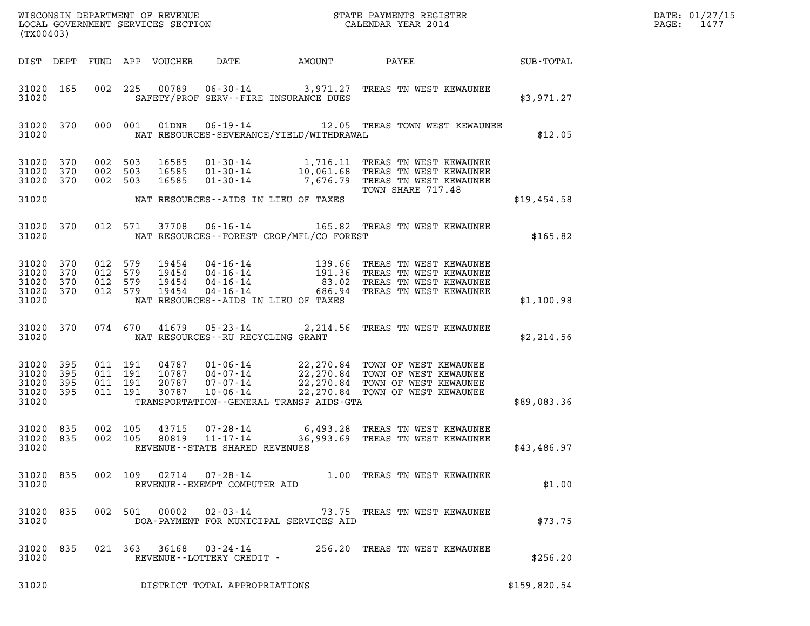| (TX00403)                                                 |           |                               |                               |                            |                                                              |                                          |                                                                                                                                                                                                                                                                   |                 | DATE: 01/27/15<br>1477<br>$\mathtt{PAGE}$ : |
|-----------------------------------------------------------|-----------|-------------------------------|-------------------------------|----------------------------|--------------------------------------------------------------|------------------------------------------|-------------------------------------------------------------------------------------------------------------------------------------------------------------------------------------------------------------------------------------------------------------------|-----------------|---------------------------------------------|
|                                                           |           |                               |                               | DIST DEPT FUND APP VOUCHER | DATE                                                         | AMOUNT                                   |                                                                                                                                                                                                                                                                   | PAYEE SUB-TOTAL |                                             |
| 31020 165<br>31020                                        |           |                               |                               |                            |                                                              | SAFETY/PROF SERV--FIRE INSURANCE DUES    | 002 225 00789 06-30-14 3,971.27 TREAS TN WEST KEWAUNEE                                                                                                                                                                                                            | \$3,971.27      |                                             |
| 31020                                                     | 31020 370 |                               | 000 001                       |                            |                                                              | NAT RESOURCES-SEVERANCE/YIELD/WITHDRAWAL | 01DNR  06-19-14  12.05 TREAS TOWN WEST KEWAUNEE                                                                                                                                                                                                                   | \$12.05         |                                             |
| 31020 370<br>31020 370<br>31020 370                       |           | 002 503<br>002 503<br>002 503 |                               |                            |                                                              |                                          | 16585  01-30-14   1,716.11   TREAS TN WEST KEWAUNEE<br>16585  01-30-14   10,061.68   TREAS TN WEST KEWAUNEE<br>16585  01-30-14   7,676.79   TREAS TN WEST KEWAUNEE<br>TOWN SHARE 717.48                                                                           |                 |                                             |
| 31020                                                     |           |                               |                               |                            |                                                              | NAT RESOURCES--AIDS IN LIEU OF TAXES     |                                                                                                                                                                                                                                                                   | \$19,454.58     |                                             |
| 31020                                                     | 31020 370 |                               | 012 571                       |                            |                                                              | NAT RESOURCES--FOREST CROP/MFL/CO FOREST | 37708  06-16-14   165.82   TREAS TN WEST KEWAUNEE                                                                                                                                                                                                                 | \$165.82        |                                             |
| 31020 370<br>31020 370<br>31020 370<br>31020 370<br>31020 |           | 012 579<br>012 579<br>012 579 | 012 579                       | 19454<br>19454             |                                                              | NAT RESOURCES--AIDS IN LIEU OF TAXES     |                                                                                                                                                                                                                                                                   | \$1,100.98      |                                             |
| 31020                                                     |           |                               |                               |                            |                                                              | NAT RESOURCES--RU RECYCLING GRANT        | 31020 370 074 670 41679 05-23-14 2,214.56 TREAS TN WEST KEWAUNEE                                                                                                                                                                                                  | \$2,214.56      |                                             |
| 31020 395<br>31020<br>31020 395<br>31020 395<br>31020     | 395       | 011 191                       | 011 191<br>011 191<br>011 191 |                            |                                                              | TRANSPORTATION--GENERAL TRANSP AIDS-GTA  | $\begin{tabular}{cccc} 04787 & 01-06-14 & 22,270.84 & TOWN OF WEST KEWAWNE \\ 10787 & 04-07-14 & 22,270.84 & TOWN OF WEST KEWAWNE \\ 20787 & 07-07-14 & 22,270.84 & TOWN OF WEST KEWAWNE \\ 30787 & 10-06-14 & 22,270.84 & TOWN OF WEST KEWAWNE \\ \end{tabular}$ | \$89,083.36     |                                             |
| 31020 835<br>31020 835<br>31020                           |           | 002 105<br>002 105            |                               | 43715<br>80819             | 07-28-14<br>$11 - 17 - 14$<br>REVENUE--STATE SHARED REVENUES |                                          | 6,493.28 TREAS TN WEST KEWAUNEE<br>36,993.69 TREAS TN WEST KEWAUNEE                                                                                                                                                                                               | \$43,486.97     |                                             |
| 31020                                                     | 31020 835 |                               |                               | 002 109 02714              | REVENUE--EXEMPT COMPUTER AID                                 |                                          | 07-28-14 1.00 TREAS TN WEST KEWAUNEE                                                                                                                                                                                                                              | \$1.00          |                                             |
| 31020 835<br>31020                                        |           |                               |                               | 002 501 00002              | $02 - 03 - 14$                                               | DOA-PAYMENT FOR MUNICIPAL SERVICES AID   | 73.75 TREAS TN WEST KEWAUNEE                                                                                                                                                                                                                                      | \$73.75         |                                             |
| 31020 835<br>31020                                        |           |                               |                               |                            | REVENUE--LOTTERY CREDIT -                                    |                                          | 021  363  36168  03-24-14  256.20  TREAS TN WEST KEWAUNEE                                                                                                                                                                                                         | \$256.20        |                                             |
| 31020                                                     |           |                               |                               |                            | DISTRICT TOTAL APPROPRIATIONS                                |                                          |                                                                                                                                                                                                                                                                   | \$159,820.54    |                                             |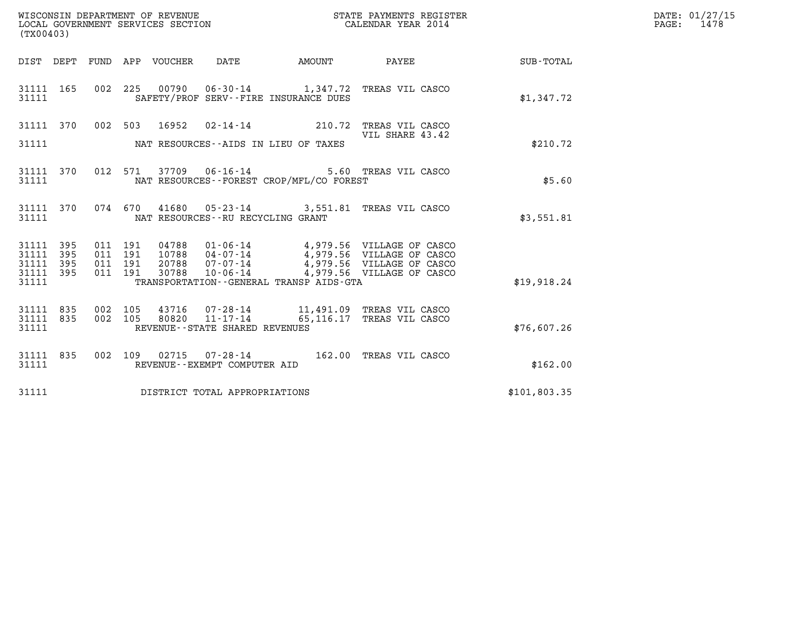| WISCONSIN DEPARTMENT OF REVENUE   | STATE PAYMENTS REGISTER | DATE: 01/27/15 |
|-----------------------------------|-------------------------|----------------|
| LOCAL GOVERNMENT SERVICES SECTION | CALENDAR YEAR 2014      | 1478<br>PAGE:  |

| (TX00403)                                           | WISCONSIN DEPARTMENT OF REVENUE<br>LOCAL GOVERNMENT SERVICES SECTION<br>(TYO0402)     | STATE PAYMENTS REGISTER<br>CALENDAR YEAR 2014                                              |              |
|-----------------------------------------------------|---------------------------------------------------------------------------------------|--------------------------------------------------------------------------------------------|--------------|
| DIST DEPT                                           | FUND APP VOUCHER<br>DATE<br>AMOUNT                                                    | PAYEE                                                                                      | SUB-TOTAL    |
| 165<br>002<br>31111<br>31111                        | 225<br>SAFETY/PROF SERV--FIRE INSURANCE DUES                                          | 00790  06-30-14  1,347.72  TREAS VIL CASCO                                                 | \$1,347.72   |
| 31111 370                                           | 002 503<br>16952                                                                      | 02-14-14 210.72 TREAS VIL CASCO<br>VIL SHARE 43.42                                         |              |
| 31111                                               | NAT RESOURCES--AIDS IN LIEU OF TAXES                                                  |                                                                                            | \$210.72     |
| 370<br>31111<br>31111                               | 012 571<br>NAT RESOURCES - - FOREST CROP/MFL/CO FOREST                                | 37709  06-16-14  5.60  TREAS VIL CASCO                                                     | \$5.60       |
| 31111 370<br>31111                                  | 074 670<br>NAT RESOURCES - - RU RECYCLING GRANT                                       | 41680  05-23-14  3,551.81  TREAS VIL CASCO                                                 | \$3,551.81   |
| 31111<br>395<br>31111<br>395                        | 011 191<br>011 191                                                                    | 04788  01-06-14  4,979.56  VILLAGE OF CASCO<br>10788  04-07-14  4,979.56  VILLAGE OF CASCO |              |
| 31111<br>395<br>31111 395<br>31111                  | 011 191<br>011 191<br>TRANSPORTATION--GENERAL TRANSP AIDS-GTA                         | 20788  07-07-14  4,979.56  VILLAGE OF CASCO<br>30788  10-06-14  4,979.56  VILLAGE OF CASCO | \$19,918.24  |
|                                                     |                                                                                       |                                                                                            |              |
| 835<br>002<br>31111<br>002<br>31111<br>835<br>31111 | 105<br>$11 - 17 - 14$ 65, 116.17<br>105<br>80820<br>REVENUE - - STATE SHARED REVENUES | 43716  07-28-14   11,491.09   TREAS VIL CASCO<br>TREAS VIL CASCO                           | \$76,607.26  |
| 835<br>31111<br>31111                               | 002 109<br>02715<br>REVENUE--EXEMPT COMPUTER AID                                      | 07-28-14 162.00 TREAS VIL CASCO                                                            | \$162.00     |
| 31111                                               | DISTRICT TOTAL APPROPRIATIONS                                                         |                                                                                            | \$101,803.35 |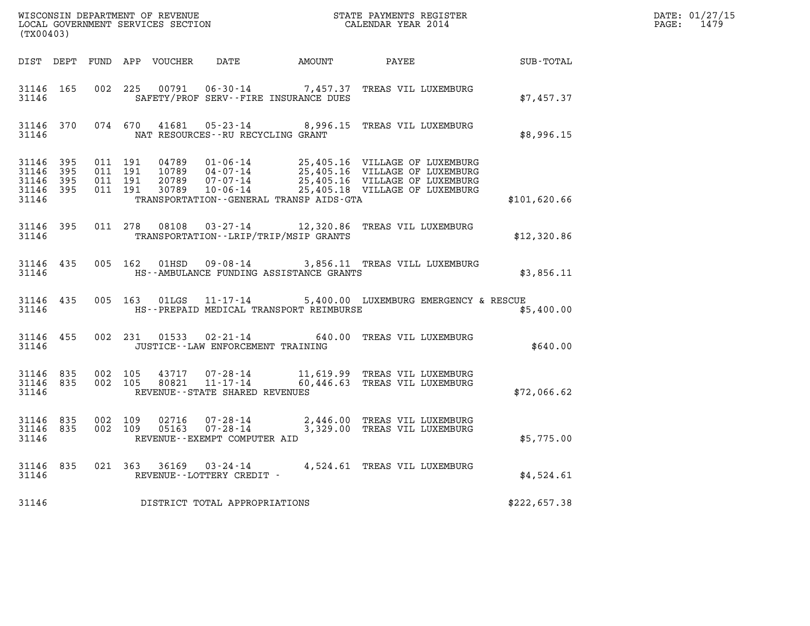| (TX00403)                       |                        |                                        |                               |                                      |                                          |                                                                                                                                                                                                              |              | DATE: 01/27/15<br>PAGE: 1479 |
|---------------------------------|------------------------|----------------------------------------|-------------------------------|--------------------------------------|------------------------------------------|--------------------------------------------------------------------------------------------------------------------------------------------------------------------------------------------------------------|--------------|------------------------------|
|                                 |                        |                                        |                               |                                      |                                          | DIST DEPT FUND APP VOUCHER DATE AMOUNT PAYEE TOTAL                                                                                                                                                           |              |                              |
| 31146                           | 31146 165              |                                        |                               |                                      | SAFETY/PROF SERV--FIRE INSURANCE DUES    | 002 225 00791 06-30-14 7,457.37 TREAS VIL LUXEMBURG                                                                                                                                                          | \$7,457.37   |                              |
| 31146                           |                        |                                        |                               | NAT RESOURCES - - RU RECYCLING GRANT |                                          | 31146 370 074 670 41681 05-23-14 8,996.15 TREAS VIL LUXEMBURG                                                                                                                                                | \$8,996.15   |                              |
| 31146 395<br>31146 395<br>31146 | 31146 395<br>31146 395 | 011 191                                | 011 191<br>011 191<br>011 191 |                                      | TRANSPORTATION--GENERAL TRANSP AIDS-GTA  | 04789  01-06-14  25,405.16  VILLAGE OF LUXEMBURG<br>10789  04-07-14  25,405.16  VILLAGE OF LUXEMBURG<br>20789  07-07-14  25,405.16  VILLAGE OF LUXEMBURG<br>30789  10-06-14  25,405.18  VILLAGE OF LUXEMBURG | \$101,620.66 |                              |
| 31146                           |                        |                                        |                               |                                      | TRANSPORTATION - - LRIP/TRIP/MSIP GRANTS | 31146 395 011 278 08108 03-27-14 12,320.86 TREAS VIL LUXEMBURG                                                                                                                                               | \$12,320.86  |                              |
| 31146                           | 31146 435              |                                        |                               |                                      | HS--AMBULANCE FUNDING ASSISTANCE GRANTS  | 005 162 01HSD 09-08-14 3,856.11 TREAS VILL LUXEMBURG                                                                                                                                                         | \$3,856.11   |                              |
| 31146                           | 31146 435              |                                        |                               |                                      | HS--PREPAID MEDICAL TRANSPORT REIMBURSE  | 005 163 01LGS 11-17-14 5,400.00 LUXEMBURG EMERGENCY & RESCUE                                                                                                                                                 | \$5,400.00   |                              |
| 31146                           | 31146 455              |                                        |                               | JUSTICE - - LAW ENFORCEMENT TRAINING |                                          | 002 231 01533 02-21-14 640.00 TREAS VIL LUXEMBURG                                                                                                                                                            | \$640.00     |                              |
| 31146                           |                        | 31146 835 002 105<br>31146 835 002 105 |                               | REVENUE--STATE SHARED REVENUES       |                                          |                                                                                                                                                                                                              | \$72,066.62  |                              |
| 31146                           | 31146 835<br>31146 835 |                                        |                               | REVENUE--EXEMPT COMPUTER AID         |                                          | 002 109 02716 07-28-14 2,446.00 TREAS VIL LUXEMBURG<br>002 109 05163 07-28-14 3,329.00 TREAS VIL LUXEMBURG                                                                                                   | \$5,775.00   |                              |
| 31146                           |                        |                                        |                               | REVENUE--LOTTERY CREDIT -            |                                          | 31146 835 021 363 36169 03-24-14 4,524.61 TREAS VIL LUXEMBURG                                                                                                                                                | \$4,524.61   |                              |
| 31146                           |                        |                                        |                               | DISTRICT TOTAL APPROPRIATIONS        |                                          |                                                                                                                                                                                                              | \$222,657.38 |                              |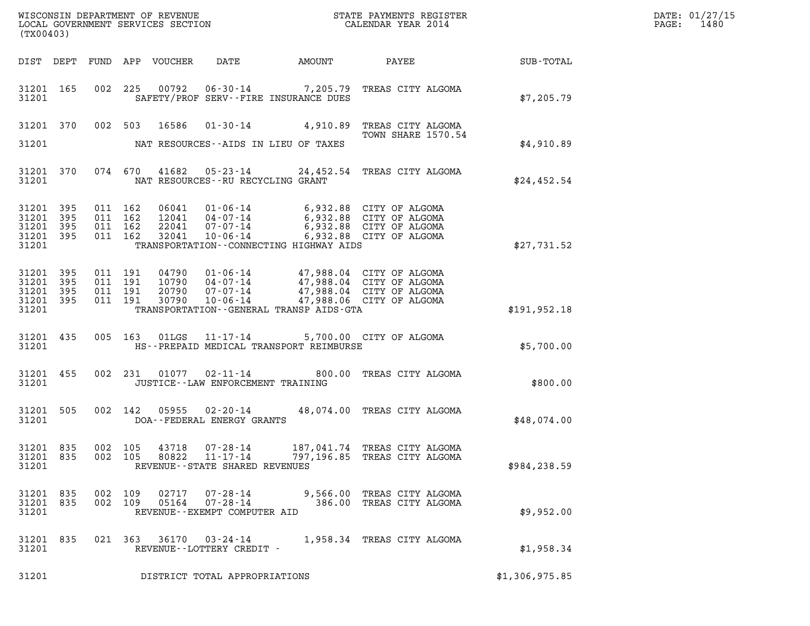| DATE: | 01/27/15 |
|-------|----------|
| PAGE: | 1480     |

| (TX00403)                                             |           |         |                                          |                  |                                                              |                                         |                                                                                                                                                              |                | DATE: 01/27/15<br>PAGE:<br>1480 |
|-------------------------------------------------------|-----------|---------|------------------------------------------|------------------|--------------------------------------------------------------|-----------------------------------------|--------------------------------------------------------------------------------------------------------------------------------------------------------------|----------------|---------------------------------|
|                                                       | DIST DEPT |         |                                          | FUND APP VOUCHER | DATE                                                         |                                         | AMOUNT PAYEE                                                                                                                                                 | SUB-TOTAL      |                                 |
| 31201 165<br>31201                                    |           |         |                                          |                  | SAFETY/PROF SERV--FIRE INSURANCE DUES                        |                                         | 002 225 00792 06-30-14 7,205.79 TREAS CITY ALGOMA                                                                                                            | \$7,205.79     |                                 |
| 31201 370                                             |           |         | 002 503 16586                            |                  |                                                              |                                         | 01-30-14 4,910.89 TREAS CITY ALGOMA<br>TOWN SHARE 1570.54                                                                                                    |                |                                 |
| 31201                                                 |           |         |                                          |                  | NAT RESOURCES--AIDS IN LIEU OF TAXES                         |                                         |                                                                                                                                                              | \$4,910.89     |                                 |
| 31201                                                 | 31201 370 |         |                                          |                  | NAT RESOURCES--RU RECYCLING GRANT                            |                                         | 074 670 41682 05-23-14 24,452.54 TREAS CITY ALGOMA                                                                                                           | \$24,452.54    |                                 |
| 31201 395<br>31201 395<br>31201<br>31201 395<br>31201 | 395       | 011 162 | 011 162<br>011 162<br>011 162            | 32041            | $10 - 06 - 14$                                               | TRANSPORTATION--CONNECTING HIGHWAY AIDS | 06041 01-06-14 6,932.88 CITY OF ALGOMA<br>12041 04-07-14 6,932.88 CITY OF ALGOMA<br>22041 07-07-14 6,932.88 CITY OF ALGOMA<br>6,932.88 CITY OF ALGOMA        | \$27,731.52    |                                 |
| 31201 395<br>31201<br>31201 395<br>31201 395<br>31201 | 395       |         | 011 191<br>011 191<br>011 191<br>011 191 | 30790            | 10-06-14                                                     | TRANSPORTATION--GENERAL TRANSP AIDS-GTA | 04790  01-06-14  47,988.04  CITY OF ALGOMA<br>10790 04-07-14 47,988.04 CITY OF ALGOMA<br>20790 07-07-14 47,988.04 CITY OF ALGOMA<br>47,988.06 CITY OF ALGOMA | \$191, 952.18  |                                 |
| 31201 435<br>31201                                    |           |         | 005 163                                  | $01$ LGS         | $11 - 17 - 14$                                               | HS--PREPAID MEDICAL TRANSPORT REIMBURSE | 5,700.00 CITY OF ALGOMA                                                                                                                                      | \$5,700.00     |                                 |
| 31201 455<br>31201                                    |           |         | 002 231                                  | 01077            | JUSTICE - - LAW ENFORCEMENT TRAINING                         |                                         | 02-11-14 800.00 TREAS CITY ALGOMA                                                                                                                            | \$800.00       |                                 |
| 31201 505<br>31201                                    |           |         | 002 142                                  | 05955            | $02 - 20 - 14$<br>DOA--FEDERAL ENERGY GRANTS                 |                                         | 48,074.00 TREAS CITY ALGOMA                                                                                                                                  | \$48,074.00    |                                 |
| 31201 835<br>31201 835<br>31201                       |           |         | 002 105<br>002 105                       | 43718<br>80822   | $07 - 28 - 14$<br>11-17-14<br>REVENUE--STATE SHARED REVENUES |                                         | 187,041.74 TREAS CITY ALGOMA<br>797,196.85 TREAS CITY ALGOMA                                                                                                 | \$984, 238.59  |                                 |
| 31201 835<br>31201 835<br>31201                       |           |         | 002 109<br>002 109                       | 02717<br>05164   | 07-28-14<br>$07 - 28 - 14$<br>REVENUE--EXEMPT COMPUTER AID   |                                         | 9,566.00 TREAS CITY ALGOMA<br>386.00 TREAS CITY ALGOMA                                                                                                       | \$9,952.00     |                                 |
| 31201 835<br>31201                                    |           |         | 021 363                                  |                  | 36170 03-24-14<br>REVENUE--LOTTERY CREDIT -                  |                                         | 1,958.34 TREAS CITY ALGOMA                                                                                                                                   | \$1,958.34     |                                 |
| 31201                                                 |           |         |                                          |                  | DISTRICT TOTAL APPROPRIATIONS                                |                                         |                                                                                                                                                              | \$1,306,975.85 |                                 |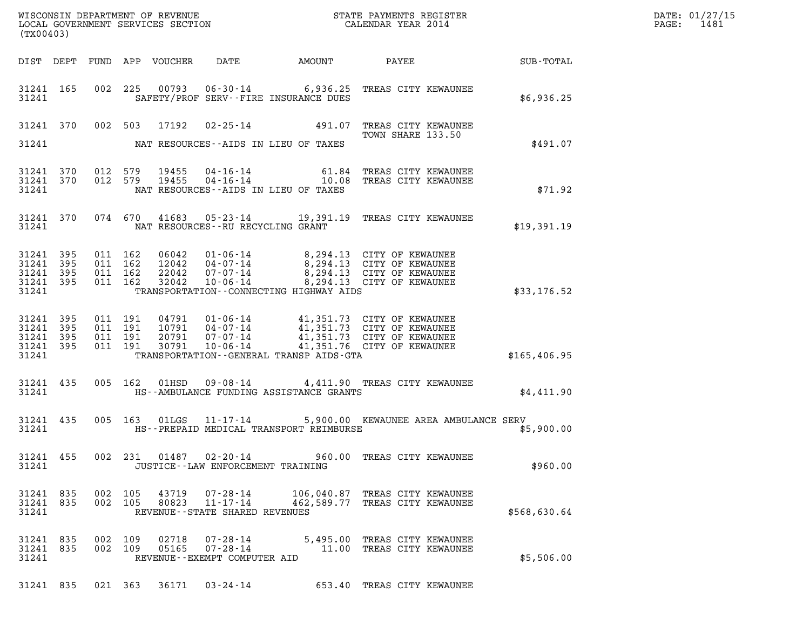| (TX00403)                                             |           |  | DATE: 01/27/15<br>1481<br>$\mathtt{PAGE:}$ |                            |                                                                 |                                         |                                                                                                                                                                                 |               |  |
|-------------------------------------------------------|-----------|--|--------------------------------------------|----------------------------|-----------------------------------------------------------------|-----------------------------------------|---------------------------------------------------------------------------------------------------------------------------------------------------------------------------------|---------------|--|
|                                                       |           |  |                                            | DIST DEPT FUND APP VOUCHER | DATE                                                            | AMOUNT                                  | <b>PAYEE</b> FOUND THE PAYEE                                                                                                                                                    | SUB-TOTAL     |  |
| 31241                                                 | 31241 165 |  |                                            |                            |                                                                 | SAFETY/PROF SERV--FIRE INSURANCE DUES   | 002 225 00793 06-30-14 6,936.25 TREAS CITY KEWAUNEE                                                                                                                             | \$6,936.25    |  |
|                                                       |           |  |                                            | 31241 370 002 503 17192    |                                                                 |                                         | 02-25-14 491.07 TREAS CITY KEWAUNEE<br>TOWN SHARE 133.50                                                                                                                        |               |  |
| 31241                                                 |           |  |                                            |                            |                                                                 | NAT RESOURCES--AIDS IN LIEU OF TAXES    |                                                                                                                                                                                 | \$491.07      |  |
| 31241 370<br>31241                                    | 31241 370 |  | 012 579<br>012 579                         | 19455<br>19455             |                                                                 | NAT RESOURCES--AIDS IN LIEU OF TAXES    | 04-16-14 61.84 TREAS CITY KEWAUNEE<br>04-16-14 10.08 TREAS CITY KEWAUNEE                                                                                                        | \$71.92       |  |
| 31241                                                 | 31241 370 |  |                                            |                            | NAT RESOURCES--RU RECYCLING GRANT                               |                                         | 074 670 41683 05-23-14 19,391.19 TREAS CITY KEWAUNEE                                                                                                                            | \$19,391.19   |  |
| 31241 395<br>31241<br>31241 395<br>31241 395<br>31241 | 395       |  | 011 162<br>011 162<br>011 162<br>011 162   |                            |                                                                 | TRANSPORTATION--CONNECTING HIGHWAY AIDS | 06042  01-06-14  8,294.13  CITY OF KEWAUNEE<br>12042 04-07-14 8,294.13 CITY OF KEWAUNEE<br>22042 07-07-14 8,294.13 CITY OF KEWAUNEE<br>32042 10-06-14 8,294.13 CITY OF KEWAUNEE | \$33,176.52   |  |
| 31241<br>31241 395<br>31241 395<br>31241 395<br>31241 | 395       |  | 011 191<br>011 191<br>011 191<br>011 191   | 30791                      |                                                                 | TRANSPORTATION--GENERAL TRANSP AIDS-GTA | 04791 01-06-14 41,351.73 CITY OF KEWAUNEE<br>10791 04-07-14 41,351.73 CITY OF KEWAUNEE<br>20791 07-07-14 41,351.73 CITY OF KEWAUNEE<br>10-06-14 41,351.76 CITY OF KEWAUNEE      | \$165, 406.95 |  |
| 31241                                                 | 31241 435 |  |                                            |                            |                                                                 | HS--AMBULANCE FUNDING ASSISTANCE GRANTS | 005 162 01HSD 09-08-14 4,411.90 TREAS CITY KEWAUNEE                                                                                                                             | \$4,411.90    |  |
| 31241 435<br>31241                                    |           |  |                                            |                            |                                                                 | HS--PREPAID MEDICAL TRANSPORT REIMBURSE | 005 163 01LGS 11-17-14 5,900.00 KEWAUNEE AREA AMBULANCE SERV                                                                                                                    | \$5,900.00    |  |
| 31241                                                 | 31241 455 |  |                                            |                            | JUSTICE -- LAW ENFORCEMENT TRAINING                             |                                         | 002 231 01487 02-20-14 960.00 TREAS CITY KEWAUNEE                                                                                                                               | \$960.00      |  |
| 31241 835<br>31241 835<br>31241                       |           |  | 002 105<br>002 105                         | 43719<br>80823             | 07-28-14<br>$11 - 17 - 14$<br>REVENUE - - STATE SHARED REVENUES |                                         | 106,040.87 TREAS CITY KEWAUNEE<br>462,589.77 TREAS CITY KEWAUNEE                                                                                                                | \$568,630.64  |  |
| 31241 835<br>31241 835<br>31241                       |           |  | 002 109<br>002 109                         | 02718<br>05165             | REVENUE--EXEMPT COMPUTER AID                                    |                                         | 07-28-14 5,495.00 TREAS CITY KEWAUNEE<br>07-28-14 11.00 TREAS CITY KEWAUNEE                                                                                                     | \$5,506.00    |  |
|                                                       |           |  |                                            |                            |                                                                 |                                         | 31241 835 021 363 36171 03-24-14 653.40 TREAS CITY KEWAUNEE                                                                                                                     |               |  |